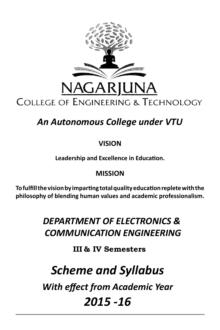

# *An Autonomous College under VTU*

# **VISION**

**Leadership and Excellence in Education.**

# **MISSION**

**To fulfill the vision by imparting total quality education replete with the philosophy of blending human values and academic professionalism.**

# *DEPARTMENT OF ELECTRONICS & COMMUNICATION ENGINEERING*

# **III & IV Semesters**

# *Scheme and Syllabus*

*With effect from Academic Year*

# *2015 -16*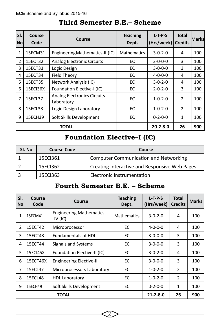| lsı.<br>No     | <b>Course</b><br>Code | Course                                           | <b>Teaching</b><br>Dept. | $L-T-P-S$<br>(Hrs/week) | <b>Total</b><br><b>Credits</b> | lMarksl |
|----------------|-----------------------|--------------------------------------------------|--------------------------|-------------------------|--------------------------------|---------|
| 1              | 15ECM31               | Engineering Mathematics-III(IC)                  | <b>Mathematics</b>       | $3 - 0 - 2 - 0$         | 4                              | 100     |
| $\overline{2}$ | 15ECT32               | <b>Analog Electronic Circuits</b>                | ЕC                       | $3 - 0 - 0 - 0$         | 3                              | 100     |
| 3              | 15ECT33               | Logic Design                                     | EC                       | $3-0-0-0$               | 3                              | 100     |
| 4              | 15ECT34               | <b>Field Theory</b>                              | EC                       | $4 - 0 - 0 - 0$         | 4                              | 100     |
| 5              | 15ECT35               | Network Analysis (IC)                            | EC                       | $3 - 0 - 2 - 0$         | 4                              | 100     |
| 6              | 15ECI36X              | Foundation Elective-I (IC)                       | EC                       | $2 - 0 - 2 - 0$         | 3                              | 100     |
| 7              | 15ECL37               | <b>Analog Electronics Circuits</b><br>Laboratory |                          | $1 - 0 - 2 - 0$         | $\mathcal{P}$                  | 100     |
| 8              | 15ECL38               | Logic Design Laboratory                          | ЕC                       | $1 - 0 - 2 - 0$         | $\overline{2}$                 | 100     |
| 9              | 15ECH39               | Soft Skills Development                          | EC                       | $0 - 2 - 0 - 0$         | $\mathbf{1}$                   | 100     |
|                |                       | TOTAL                                            |                          | $20 - 2 - 8 - 0$        | 26                             | 900     |

# **Third Semester B.E.– Scheme**

# **Foundation Elective–I (IC)**

| SI. No | <b>Course Code</b> | Course                                        |
|--------|--------------------|-----------------------------------------------|
|        | 15ECI361           | Computer Communication and Networking         |
|        | 15ECI362           | Creating Interactive and Responsive Web Pages |
|        | 15ECI363           | Electronic Instrumentation                    |

# **Fourth Semester B.E. – Scheme**

| SI.<br><b>No</b>                                 | Course<br>Code | Course                                       | <b>Teaching</b><br>Dept. | $L-T-P-S$<br>(Hrs/week) | <b>Total</b><br><b>Credits</b> | <b>Marks</b> |
|--------------------------------------------------|----------------|----------------------------------------------|--------------------------|-------------------------|--------------------------------|--------------|
| 1                                                | 15ECM41        | <b>Engineering Mathematics</b><br>$-IV$ (IC) | <b>Mathematics</b>       | $3 - 0 - 2 - 0$         | 4                              | 100          |
| $\overline{2}$                                   | 15ECT42        | Microprocessor                               | EС                       | $4 - 0 - 0 - 0$         | 4                              | 100          |
| 3                                                | 15ECT43        | <b>Fundamentals of HDL</b>                   | EС                       | $3 - 0 - 0 - 0$         | 3                              | 100          |
| 4                                                | 15ECT44        | Signals and Systems                          | EС                       | $3 - 0 - 0 - 0$         | 3                              | 100          |
| 5                                                | 15ECI45X       | Foundation Elective-II (IC)                  | EС                       | $3 - 0 - 2 - 0$         | 4                              | 100          |
| 6<br>15ECT46X<br><b>Engineering Elective-III</b> |                |                                              | EС                       | $3 - 0 - 0 - 0$         | 3                              | 100          |
| 7                                                | 15ECL47        | Microprocessors Laboratory                   | EС                       | $1 - 0 - 2 - 0$         | $\overline{2}$                 | 100          |
| 8                                                | 15ECL48        | <b>HDL Laboratory</b>                        | EС                       | $1 - 0 - 2 - 0$         | $\overline{2}$                 | 100          |
| 9                                                | 15ECH49        | Soft Skills Development                      | EС                       | $0 - 2 - 0 - 0$         | 1                              | 100          |
|                                                  |                | TOTAL                                        |                          | $21 - 2 - 8 - 0$        | 26                             | 900          |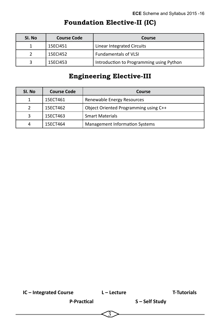| SI. No<br><b>Course Code</b> |          | Course                                   |
|------------------------------|----------|------------------------------------------|
|                              | 15ECI451 | Linear Integrated Circuits               |
|                              | 15ECI452 | <b>Fundamentals of VLSI</b>              |
|                              | 15ECI453 | Introduction to Programming using Python |

# **Foundation Elective-II (IC)**

# **Engineering Elective-III**

| SI. No | <b>Course Code</b> | Course                                |  |  |  |
|--------|--------------------|---------------------------------------|--|--|--|
|        | 15ECT461           | Renewable Energy Resources            |  |  |  |
|        | 15ECT462           | Object Oriented Programming using C++ |  |  |  |
| з      | 15ECT463           | <b>Smart Materials</b>                |  |  |  |
| 4      | 15ECT464           | <b>Management Information Systems</b> |  |  |  |

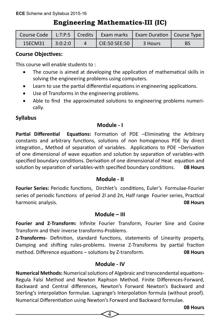# **Engineering Mathematics-III (IC)**

| Course Code |         |                | L:T:P:S   Credits   Exam marks   Exam Duration   Course Type |           |
|-------------|---------|----------------|--------------------------------------------------------------|-----------|
| 15ECM31     | 3:0:2:0 | ICIE:50 SEE:50 | 3 Hours                                                      | <b>BS</b> |

#### **Course Objectives:**

This course will enable students to :

- The course is aimed at developing the application of mathematical skills in solving the engineering problems using computers.
- Learn to use the partial differential equations in engineering applications.
- Use of Transforms in the engineering problems.
- Able to find the approximated solutions to engineering problems numerically.

## **Syllabus**

## **Module - I**

**Partial Differential Equations:** Formation of PDE –Eliminating the Arbitrary constants and arbitrary functions, solutions of non homogenous PDE by direct integration., Method of separation of variables. Applications to PDE –Derivation of one dimensional of wave equation and solution by separation of variables-with specified boundary conditions. Derivation of one dimensional of Heat equation and solution by separation of variables-with specified boundary conditions. **08 Hours**

#### **Module - II**

**Fourier Series:** Periodic functions, Dirchlet's conditions, Euler's Formulae-Fourier series of periodic functions of period 2l and 2π, Half range Fourier series, Practical harmonic analysis. **08 Hours**

#### **Module – III**

**Fourier and Z-Transform:** Infinite Fourier Transform, Fourier Sine and Cosine Transform and their inverse transforms-Problems.

**Z-Transforms**- Definition, standard functions, statements of Linearity property, Damping and shifting rules-problems. Inverse Z-Transforms by partial fraction method. Difference equations – solutions by Z-transform. **08 Hours**

#### **Module - IV**

**Numerical Methods:** Numerical solutions of Algebraic and transcendental equations-Regula Falsi Method and Newton Raphson Method. Finite Differences-Forward, Backward and Central differences, Newton's Forward Newton's Backward and Sterling's interpolation formulae. Lagrange's Interpolation formula (without proof). Numerical Differentiation using Newton's Forward and Backward formulae.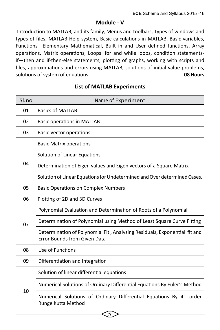#### **Module - V**

 Introduction to MATLAB, and its family, Menus and toolbars, Types of windows and types of files, MATLAB Help system, Basic calculations in MATLAB, Basic variables, Functions –Elementary Mathematical, Built in and User defined functions. Array operations, Matrix operations, Loops: for and while loops, condition statementsif—then and if-then-else statements, plotting of graphs, working with scripts and files, approximations and errors using MATLAB, solutions of initial value problems, solutions of system of equations. **08 Hours**

| Sl.no | Name of Experiment                                                                                        |
|-------|-----------------------------------------------------------------------------------------------------------|
| 01    | <b>Basics of MATLAB</b>                                                                                   |
| 02    | <b>Basic operations in MATLAB</b>                                                                         |
| 03    | <b>Basic Vector operations</b>                                                                            |
|       | <b>Basic Matrix operations</b>                                                                            |
|       | Solution of Linear Equations                                                                              |
| 04    | Determination of Eigen values and Eigen vectors of a Square Matrix                                        |
|       | Solution of Linear Equations for Undetermined and Over determined Cases.                                  |
| 05    | <b>Basic Operations on Complex Numbers</b>                                                                |
| 06    | Plotting of 2D and 3D Curves                                                                              |
|       | Polynomial Evaluation and Determination of Roots of a Polynomial                                          |
| 07    | Determination of Polynomial using Method of Least Square Curve Fitting                                    |
|       | Determination of Polynomial Fit, Analyzing Residuals, Exponential fit and<br>Error Bounds from Given Data |
| 08    | Use of Functions                                                                                          |
| 09    | Differentiation and Integration                                                                           |
|       | Solution of linear differential equations                                                                 |
| 10    | Numerical Solutions of Ordinary Differential Equations By Euler's Method                                  |
|       | Numerical Solutions of Ordinary Differential Equations By 4 <sup>th</sup> order<br>Runge Kutta Method     |

5

#### **List of MATLAB Experiments**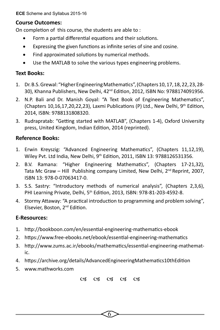**ECE** Scheme and Syllabus 2015-16

#### **Course Outcomes:**

On completion of this course, the students are able to :

- Form a partial differential equations and their solutions.
- Expressing the given functions as infinite series of sine and cosine.
- Find approximated solutions by numerical methods.
- Use the MATLAB to solve the various types engineering problems.

#### **Text Books:**

- 1. Dr. B.S. Grewal: "Higher Engineering Mathematics", (Chapters 10, 17, 18, 22, 23, 28- 30), Khanna Publishers, New Delhi, 42nd Edition, 2012, ISBN No: 9788174091956.
- 2. N.P. Bali and Dr. Manish Goyal: "A Text Book of Engineering Mathematics", (Chapters 10,16,17,20,22,23), Laxmi Publications (P) Ltd., New Delhi,  $9^{th}$  Edition, 2014, ISBN: 9788131808320.
- 3. Rudrapratab: "Getting started with MATLAB", (Chapters 1-4), Oxford University press, United Kingdom, Indian Edition, 2014 (reprinted).

#### **Reference Books:**

- 1. Erwin Kreyszig: "Advanced Engineering Mathematics", (Chapters 11,12,19), Wiley Pvt. Ltd India, New Delhi, 9th Edition, 2011, ISBN 13: 9788126531356.
- 2. B.V. Ramana: "Higher Engineering Mathematics", (Chapters 17-21,32), Tata Mc Graw – Hill Publishing company Limited, New Delhi,  $2^{nd}$  Reprint, 2007, ISBN 13: 978-0-07063417-0.
- 3. S.S. Sastry: "Introductory methods of numerical analysis", (Chapters 2,3,6), PHI Learning Private, Delhi, 5th Edition, 2013, ISBN: 978-81-203-4592-8.
- 4. Stormy Attaway: "A practical introduction to programming and problem solving", Elsevier, Boston, 2<sup>nd</sup> Edition.

#### **E-Resources:**

- 1. http://bookboon.com/en/essential-engineering-mathematics-ebook
- 2. https://www.free-ebooks.net/ebook/essential-engineering-mathematics
- 3. http://www.zums.ac.ir/ebooks/mathematics/essential-engineering-mathematic.
- 4. https://archive.org/details/AdvancedEngineeringMathematics10thEdition
- 5. www.mathworks.com

03 03 03 03 03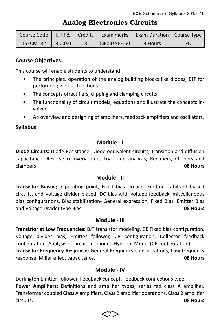|                    |  |                       | Course Code   L:T:P:S   Credits   Exam marks   Exam Duration   Course Type |  |
|--------------------|--|-----------------------|----------------------------------------------------------------------------|--|
| 15ECMT32   3:0:0:0 |  | $\vert$ CIE:50 SEE:50 | 3 Hours                                                                    |  |

## **Analog Electronics Circuits**

#### **Course Objectives:**

This course will enable students to understand:

- The principles, operation of the analog building blocks like diodes, BJT for performing various functions.
- The concepts of rectifiers, clipping and clamping circuits.
- The functionality of circuit models, equations and illustrate the concepts involved.
- An overview and designing of amplifiers, feedback amplifiers and oscillators.

#### **Syllabus**

#### **Module - I**

**Diode Circuits:** Diode Resistance, Diode equivalent circuits, Transition and diffusion capacitance, Reverse recovery time, Load line analysis, Rectifiers, Clippers and clampers. **08 Hours**

#### **Module - II**

**Transistor Biasing:** Operating point, Fixed bias circuits, Emitter stabilized biased circuits, and Voltage divider biased, DC bias with voltage feedback, miscellaneous bias configurations, Bias stabilization- General expression, Fixed Bias, Emitter Bias and Voltage Divider type Bias. **08 Hours**

#### **Module - III**

**Transistor at Low Frequencies:** BJT transistor modeling, CE Fixed bias configuration, Voltage divider bias, Emitter follower, CB configuration, Collector feedback configuration, Analysis of circuits re model. Hybrid π Model (CE configuration).

**Transistor Frequency Response:** General Frequency considerations, Low frequency response, Miller effect capacitance. **08 Hours**

#### **Module - IV**

Darlington Emitter Follower, Feedback concept, Feedback connections type.

**Power Amplifiers:** Definitions and amplifier types, series fed class A amplifier, Transformer coupled Class A amplifiers, Class B amplifier operations, Class B amplifier circuits. **08 Hours**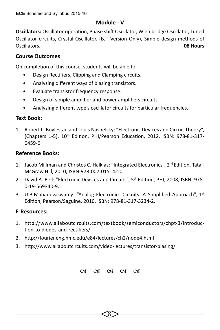#### **Module - V**

**Oscillators:** Oscillator operation, Phase shift Oscillator, Wien bridge Oscillator, Tuned Oscillator circuits, Crystal Oscillator. (BJT Version Only), Simple design methods of Oscillators. **08 Hours**

## **Course Outcomes**

On completion of this course, students will be able to:

- Design Rectifiers, Clipping and Clamping circuits.
- Analyzing different ways of biasing transistors.
- Evaluate transistor frequency response.
- Design of simple amplifier and power amplifiers circuits.
- Analyzing different type's oscillator circuits for particular frequencies.

## **Text Book:**

1. Robert L. Boylestad and Louis Nashelsky: "Electronic Devices and Circuit Theory", (Chapters 1-5), 10th Edition, PHI/Pearson Education, 2012, ISBN: 978-81-317- 6459-6.

#### **Reference Books:**

- 1. Jacob Millman and Christos C. Halkias: "Integrated Electronics", 2<sup>nd</sup> Edition, Tata -McGraw Hill, 2010, ISBN-978-007-015142-0.
- 2. David A. Bell: "Electronic Devices and Circuits", 5th Edition, PHI, 2008, ISBN: 978- 0-19-569340-9.
- 3. U.B.Mahadevaswamy: "Analog Electronics Circuits: A Simplified Approach", 1st Edition, Pearson/Saguine, 2010, ISBN: 978-81-317-3234-2.

## **E-Resources:**

- 1. http://www.allaboutcircuits.com/textbook/semiconductors/chpt-3/introduction-to-diodes-and-rectifiers/
- 2. http://fourier.eng.hmc.edu/e84/lectures/ch2/node4.html
- 3. http://www.allaboutcircuits.com/video-lectures/transistor-biasing/

03 03 03 03 03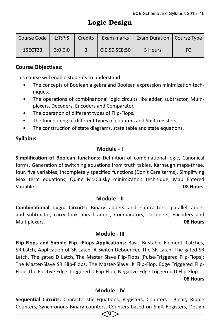| Course Code | L: T: P: S | Credits | Exam marks    | Exam Duration   Course Type |    |
|-------------|------------|---------|---------------|-----------------------------|----|
| 15ECT33     | 3:0:0:0    |         | CIE:50 SEE:50 | 3 Hours                     | FC |

#### **Course Objectives:**

This course will enable students to understand:

- The concepts of Boolean algebra and Boolean expression minimization techniques.
- The operations of combinational logic circuits like adder, subtractor, Multiplexers, Decoders, Encoders and Comparator.
- The operation of different types of Flip-Flops.
- The functioning of different types of counters and Shift registers.
- The construction of state diagrams, state table and state equations.

## **Syllabus**

#### **Module - I**

**Simplification of Boolean functions:** Definition of combinational logic, Canonical forms, Generation of switching equations from truth tables, Karnaugh maps-three, four, five variables, Incompletely specified functions (Don't Care terms), Simplifying Max term equations, Quine Mc-Clusky minimization technique, Map Entered Variable. **08 Hours**

#### **Module - II**

**Combinational Logic Circuits:** Binary adders and subtractors, parallel adder and subtractor, carry look ahead adder, Comparators, Decoders, Encoders and Multiplexers. **08 Hours**

#### **Module - III**

**Flip-Flops and Simple Flip –Flops Applications:** Basic Bi-stable Element, Latches, SR Latch, Application of SR Latch, A Switch Debouncer, The SR Latch, The gated SR Latch, The gated D Latch, The Master Slave Flip-Flops (Pulse-Triggered Flip-Flops): The Master-Slave SR Flip-Flops, The Master-Slave JK Flip-Flop, Edge Triggered Flip-Flop: The Positive Edge-Triggered D Flip-Flop, Negative-Edge Triggered D Flip-Flop.

#### **08 Hours 1986 1986 1986 1986 1986 1986 1986 1986 1986 1986 1986**

#### **Module - IV**

**Sequential Circuits:** Characteristic Equations, Registers, Counters - Binary Ripple Counters, Synchronous Binary counters, Counters based on Shift Registers, Design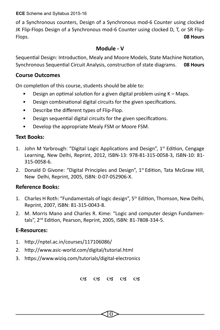**ECE** Scheme and Syllabus 2015-16

of a Synchronous counters, Design of a Synchronous mod-6 Counter using clocked JK Flip-Flops Design of a Synchronous mod-6 Counter using clocked D, T, or SR Flip-Flops. **08 Hours**

## **Module - V**

Sequential Design: Introduction, Mealy and Moore Models, State Machine Notation, Synchronous Sequential Circuit Analysis, construction of state diagrams. **08 Hours**

## **Course Outcomes**

On completion of this course, students should be able to:

- Design an optimal solution for a given digital problem using K Maps.
- Design combinational digital circuits for the given specifications.
- Describe the different types of Flip-Flop.
- Design sequential digital circuits for the given specifications.
- Develop the appropriate Mealy FSM or Moore FSM.

## **Text Books:**

- 1. John M Yarbrough: "Digital Logic Applications and Design",  $1<sup>st</sup>$  Edition, Cengage Learning, New Delhi, Reprint, 2012, ISBN-13: 978-81-315-0058-3, ISBN-10: 81- 315-0058-6.
- 2. Donald D Givone: "Digital Principles and Design",  $1<sup>st</sup>$  Edition, Tata McGraw Hill, New Delhi, Reprint, 2005, ISBN: 0-07-052906-X.

## **Reference Books:**

- 1. Charles H Roth: "Fundamentals of logic design", 5th Edition, Thomson, New Delhi, Reprint, 2007, ISBN: 81-315-0043-8.
- 2. M. Morris Mano and Charles R. Kime: "Logic and computer design Fundamentals", 2nd Edition, Pearson, Reprint, 2005, ISBN: 81-7808-334-5.

## **E-Resources:**

- 1. http://nptel.ac.in/courses/117106086/
- 2. http://www.asic-world.com/digital/tutorial.html
- 3. https://www.wiziq.com/tutorials/digital-electronics

03 03 03 03 03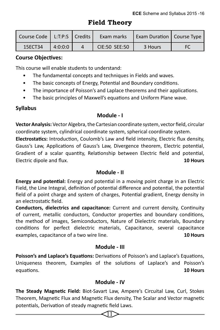## **Field Theory**

| Course Code   L:T:P:S   Credits |         | Exam marks    | Exam Duration   Course Type |  |
|---------------------------------|---------|---------------|-----------------------------|--|
| 15ECT34                         | 4:0:0:0 | CIE:50 SEE:50 | 3 Hours                     |  |

## **Course Objectives:**

This course will enable students to understand:

- The fundamental concepts and techniques in Fields and waves.
- The basic concepts of Energy, Potential and Boundary conditions.
- The importance of Poisson's and Laplace theorems and their applications.
- The basic principles of Maxwell's equations and Uniform Plane wave.

## **Syllabus**

## **Module - I**

**Vector Analysis:** Vector Algebra, the Cartesian coordinate system, vector field, circular coordinate system, cylindrical coordinate system, spherical coordinate system. **Electrostatics:** Introduction, Coulomb's Law and field intensity, Electric flux density, Gauss's Law, Applications of Gauss's Law, Divergence theorem, Electric potential, Gradient of a scalar quantity, Relationship between Electric field and potential, Electric dipole and flux. **10 Hours**

## **Module - II**

**Energy and potential:** Energy and potential in a moving point charge in an Electric Field, the Line Integral, definition of potential difference and potential, the potential field of a point charge and system of charges, Potential gradient, Energy density in an electrostatic field.

**Conductors, dielectrics and capacitance:** Current and current density, Continuity of current, metallic conductors, Conductor properties and boundary conditions, the method of images, Semiconductors, Nature of Dielectric materials, Boundary conditions for perfect dielectric materials, Capacitance, several capacitance examples, capacitance of a two wire line. **10 Hours**

#### **Module - III**

**Poisson's and Laplace's Equations:** Derivations of Poisson's and Laplace's Equations, Uniqueness theorem, Examples of the solutions of Laplace's and Poisson's equations. **10 Hours**

## **Module - IV**

**The Steady Magnetic Field:** Biot-Savart Law, Ampere's Circuital Law, Curl, Stokes Theorem, Magnetic Flux and Magnetic Flux density, The Scalar and Vector magnetic potentials, Derivation of steady magnetic field Laws.

 $\hbox{\rm 1}\hskip -2.5pt\relax\ifmmode\hskip 1pt}$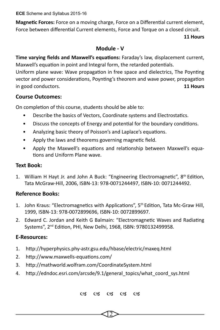**ECE** Scheme and Syllabus 2015-16

**Magnetic Forces:** Force on a moving charge, Force on a Differential current element, Force between differential Current elements, Force and Torque on a closed circuit.

#### **11 Hours**

#### **Module - V**

**Time varying fields and Maxwell's equations:** Faraday's law, displacement current, Maxwell's equation in point and Integral form, the retarded potentials.

Uniform plane wave: Wave propagation in free space and dielectrics, The Poynting vector and power considerations, Poynting's theorem and wave power, propagation in good conductors. **11 Hours**

#### **Course Outcomes:**

On completion of this course, students should be able to:

- Describe the basics of Vectors, Coordinate systems and Electrostatics.
- Discuss the concepts of Energy and potential for the boundary conditions.
- Analyzing basic theory of Poisson's and Laplace's equations.
- Apply the laws and theorems governing magnetic field.
- Apply the Maxwell's equations and relationship between Maxwell's equations and Uniform Plane wave.

#### **Text Book:**

1. William H Hayt Jr. and John A Buck: "Engineering Electromagnetic",  $8<sup>th</sup>$  Edition, Tata McGraw-Hill, 2006, ISBN-13: 978-0071244497, ISBN-10: 0071244492.

#### **Reference Books:**

- 1. John Kraus: "Electromagnetics with Applications", 5th Edition, Tata Mc-Graw Hill, 1999, ISBN-13: 978-0072899696, ISBN-10: 0072899697.
- 2. Edward C. Jordan and Keith G Balmain: "Electromagnetic Waves and Radiating Systems", 2nd Edition, PHI, New Delhi, 1968, ISBN: 9780132499958.

#### **E-Resources:**

- 1. http://hyperphysics.phy-astr.gsu.edu/hbase/electric/maxeq.html
- 2. http://www.maxwells-equations.com/
- 3. http://mathworld.wolfram.com/CoordinateSystem.html
- 4. http://edndoc.esri.com/arcsde/9.1/general\_topics/what\_coord\_sys.html

03 03 03 03 03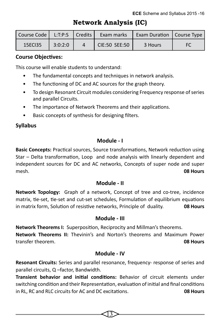## **Network Analysis (IC)**

| Course Code   L:T:P:S   Credits |         | Exam marks    | <b>Exam Duration   Course Type  </b> |    |
|---------------------------------|---------|---------------|--------------------------------------|----|
| 15ECI35                         | 3:0:2:0 | CIE:50 SEE:50 | 3 Hours                              | FC |

#### **Course Objectives:**

This course will enable students to understand:

- The fundamental concepts and techniques in network analysis.
- The functioning of DC and AC sources for the graph theory.
- To design Resonant Circuit modules considering Frequency response of series and parallel Circuits.
- The importance of Network Theorems and their applications.
- Basic concepts of synthesis for designing filters.

#### **Syllabus**

#### **Module - I**

**Basic Concepts:** Practical sources, Source transformations, Network reduction using Star – Delta transformation, Loop and node analysis with linearly dependent and independent sources for DC and AC networks, Concepts of super node and super mesh. **08 Hours**

#### **Module - II**

**Network Topology:** Graph of a network, Concept of tree and co-tree, incidence matrix, tie-set, tie-set and cut-set schedules, Formulation of equilibrium equations in matrix form, Solution of resistive networks, Principle of duality. **08 Hours**

#### **Module - III**

**Network Theorems I:** Superposition, Reciprocity and Millman's theorems.

**Network Theorems II:** Thevinin's and Norton's theorems and Maximum Power transfer theorem. **08 Hours**

#### **Module - IV**

**Resonant Circuits:** Series and parallel resonance, frequency- response of series and parallel circuits, Q –factor, Bandwidth.

**Transient behavior and initial conditions:** Behavior of circuit elements under switching condition and their Representation, evaluation of initial and final conditions in RL, RC and RLC circuits for AC and DC excitations. **08 Hours**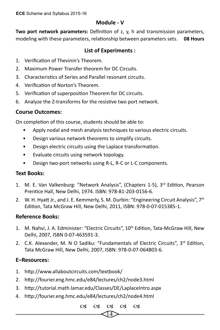#### **Module - V**

**Two port network parameters:** Definition of z, y, h and transmission parameters, modeling with these parameters, relationship between parameters sets. **08 Hours**

## **List of Experiments :**

- 1. Verification of Thevinin's Theorem.
- 2. Maximum Power Transfer theorem for DC Circuits.
- 3. Characteristics of Series and Parallel resonant circuits.
- 4. Verification of Norton's Theorem.
- 5. Verification of superposition Theorem for DC circuits.
- 6. Analyze the Z-transforms for the resistive two port network.

## **Course Outcomes:**

On completion of this course, students should be able to:

- Apply nodal and mesh analysis techniques to various electric circuits.
- Design various network theorems to simplify circuits.
- Design electric circuits using the Laplace transformation.
- Evaluate circuits using network topology.
- Design two-port networks using R-L, R-C or L-C components.

#### **Text Books:**

- 1. M. E. Van Valkenburg: "Network Analysis", (Chapters 1-5),  $3<sup>rd</sup>$  Edition, Pearson Prentice Hall, New Delhi, 1974. ISBN: 978-81-203-0156-6.
- 2. W. H. Hyatt Jr., and J. E. Kemmerly, S. M. Durbin: "Engineering Circuit Analysis",  $7<sup>th</sup>$ Edition, Tata McGraw Hill, New Delhi, 2011, ISBN: 978-0-07-015385-1.

#### **Reference Books:**

- 1. M. Nahvi, J. A. Edminister: "Electric Circuits", 10<sup>th</sup> Edition, Tata-McGraw Hill, New Delhi, 2007, ISBN 0-07-463591-3.
- 2. C.K. Alexander, M. N O Sadiku: "Fundamentals of Electric Circuits",  $3^{rd}$  Edition, Tata McGraw Hill, New Delhi, 2007, ISBN: 978-0-07-064803-6.

#### **E–Resources:**

- 1. http://www.allaboutcircuits.com/textbook/
- 2. http://fourier.eng.hmc.edu/e84/lectures/ch2/node3.html
- 3. http://tutorial.math.lamar.edu/Classes/DE/LaplaceIntro.aspx
- 4. http://fourier.eng.hmc.edu/e84/lectures/ch2/node4.html

14  $(98, 198, 198, 198, 198)$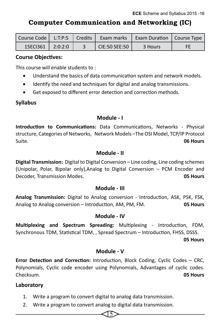**Computer Communication and Networking (IC)**

|                        |  | Course Code   L:T:P:S   Credits   Exam marks | Exam Duration   Course Type |     |
|------------------------|--|----------------------------------------------|-----------------------------|-----|
| $15ECI361$   $2:0:2:0$ |  | ICIE:50 SEE:50                               | 3 Hours                     | FF. |

#### **Course Objectives:**

This course will enable students to :

- Understand the basics of data communication system and network models.
- Identify the need and techniques for digital and analog transmissions.
- Get exposed to different error detection and correction methods.

#### **Syllabus**

#### **Module - I**

**Introduction to Communications:** Data Communications, Networks - Physical structure, Categories of Networks, Network Models –The OSI Model, TCP/IP Protocol Suite. **06 Hours**

#### **Module - II**

**Digital Transmission:** Digital to Digital Conversion – Line coding, Line coding schemes (Unipolar, Polar, Bipolar only),Analog to Digital Conversion – PCM Encoder and Decoder, Transmission Modes. **05 Hours** 

#### **Module - III**

**Analog Transmission:** Digital to Analog conversion - Introduction, ASK, PSK, FSK, Analog to Analog conversion – Introduction, AM, PM, FM. **05 Hours**

#### **Module - IV**

**Multiplexing and Spectrum Spreading:** Multiplexing - Introduction, FDM, Synchronous TDM, Statistical TDM, , Spread Spectrum – Introduction, FHSS, DSSS.

**05 Hours**

#### **Module - V**

**Error Detection and Correction:** Introduction, Block Coding, Cyclic Codes – CRC, Polynomials, Cyclic code encoder using Polynomials, Advantages of cyclic codes. Checksum. **05 Hours** 

15

#### **Laboratory**

- 1. Write a program to convert digital to analog data transmission.
- 2. Write a program to convert analog to digital data transmission.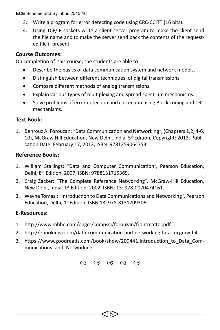**ECE** Scheme and Syllabus 2015-16

- 3. Write a program for error detecting code using CRC-CCITT (16 bits).
- 4. Using TCP/IP sockets write a client server program to make the client send the file name and to make the server send back the contents of the requested file if present.

## **Course Outcomes:**

On completion of this course, the students are able to :

- Describe the basics of data communication system and network models.
- Distinguish between different techniques of digital transmissions.
- Compare different methods of analog transmissions.
- Explain various types of multiplexing and spread spectrum mechanisms.
- Solve problems of error detection and correction using Block coding and CRC mechanisms.

## **Text Book:**

1. Behrouz A. Forouzan: "Data Communication and Networking", (Chapters 1,2, 4-6, 10), McGraw Hill Education, New Delhi, India, 5th Edition, Copyright: 2013. Publication Date: February 17, 2012, ISBN: 9781259064753.

## **Reference Books:**

- 1. William Stallings: "Data and Computer Communication", Pearson Education, Delhi, 8th Edition, 2007, ISBN: 9788131715369.
- 2. Craig Zacker: "The Complete Reference Networking", McGraw-Hill Education, New Delhi, India, 1st Edition, 2002, ISBN: 13: 978-0070474161.
- 3. Wayne Tomasi: "Introduction to Data Communications and Networking", Pearson Education, Delhi, 1st Edition, ISBN 13: 978-8131709306.

## **E-Resources:**

- 1. http://www.mhhe.com/engcs/compsci/forouzan/frontmatter.pdf.
- 2. http://ebookinga.com/data-communication-and-networking-tata-mcgraw-hil.
- 3. https://www.goodreads.com/book/show/209441.Introduction\_to\_Data\_Communications and Networking.

 $(93 \t (93 \t (93 \t (93 \t (93$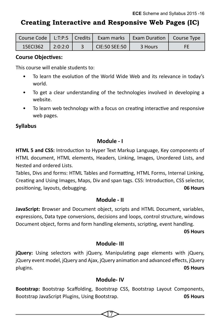# **Creating Interactive and Responsive Web Pages (IC)**

|          |         |               | Course Code   L:T:P:S   Credits   Exam marks   Exam Duration   Course Type |    |
|----------|---------|---------------|----------------------------------------------------------------------------|----|
| 15ECI362 | 2:0:2:0 | CIE:50 SEE:50 | 3 Hours                                                                    | FE |

#### **Course Objectives:**

This course will enable students to:

- To learn the evolution of the World Wide Web and its relevance in today's world.
- To get a clear understanding of the technologies involved in developing a website.
- To learn web technology with a focus on creating interactive and responsive web pages.

#### **Syllabus**

#### **Module - I**

**HTML 5 and CSS:** Introduction to Hyper Text Markup Language, Key components of HTML document, HTML elements, Headers, Linking, Images, Unordered Lists, and Nested and ordered Lists.

Tables, Divs and forms: HTML Tables and Formatting, HTML Forms, Internal Linking, Creating and Using Images, Maps, Div and span tags. CSS: Introduction, CSS selector, positioning, layouts, debugging. **06 Hours** 

#### **Module - II**

**JavaScript:** Browser and Document object, scripts and HTML Document, variables, expressions, Data type conversions, decisions and loops, control structure, windows Document object, forms and form handling elements, scripting, event handling.

 **05 Hours**

#### **Module- III**

**jQuery:** Using selectors with jQuery, Manipulating page elements with jQuery, jQuery event model, jQuery and Ajax, jQuery animation and advanced effects, jQuery plugins. **05 Hours** 

#### **Module- IV**

**Bootstrap:** Bootstrap Scaffolding, Bootstrap CSS, Bootstrap Layout Components, Bootstrap JavaScript Plugins, Using Bootstrap. **05 Hours**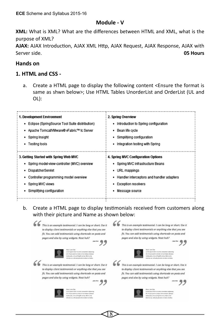#### **Module - V**

**XML:** What is XML? What are the differences between HTML and XML, what is the purpose of XML?

**AJAX:** AJAX Introduction, AJAX XML Http, AJAX Request, AJAX Response, AJAX with Server side. **05 Hours** 

#### **Hands on**

#### **1. HTML and CSS -**

a. Create a HTML page to display the following content <Ensure the format is same as shwn below>; Use HTML Tables UnorderList and OrderList (UL and OL):

| 1. Development Environment                     | 2. Spring Overview                        |
|------------------------------------------------|-------------------------------------------|
| Eclipse (SpringSource Tool Suite distribution) | Introduction to Spring configuration      |
| Apache Tomcat/VMware® vFabric™ tc Server<br>٠  | Bean life cycle                           |
| Spring Insight                                 | Simplifying configuration                 |
| Testing tools                                  | Integration testing with Spring           |
|                                                |                                           |
| 3. Getting Started with Spring Web MVC         | 4. Spring MVC Configuration Options       |
| Spring model-view-controller (MVC) overview    | • Spring MVC infrastructure Beans         |
| DispatcherServlet                              | URL mappings                              |
| Controller programming model overview          | Handler interceptors and handler adapters |
| Spring MVC views                               | <b>Exception resolvers</b>                |
| Simplifying configuration                      | Message source                            |
|                                                |                                           |

b. Create a HTML page to display testimonials received from customers along with their picture and Name as shown below:

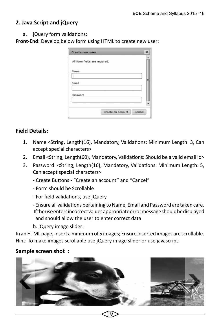#### **2. Java Script and jQuery**

a. jQuery form validations:

**Front-End:** Develop below form using HTML to create new user:

| <b>Create new user</b>        | × |
|-------------------------------|---|
| All form fields are required. |   |
| Name                          |   |
|                               |   |
| Email                         | Ħ |
|                               |   |
| Password                      |   |
|                               |   |

#### **Field Details:**

- 1. Name <String, Length(16), Mandatory, Validations: Minimum Length: 3, Can accept special characters>
- 2. Email <String, Length(60), Mandatory, Validations: Should be a valid email id>
- 3. Password <String, Length(16), Mandatory, Validations: Minimum Length: 5, Can accept special characters>
	- Create Buttons "Create an account" and "Cancel"
	- Form should be Scrollable
	- For field validations, use jQuery
	- Ensure all validations pertaining to Name, Email and Password are taken care. If the use enters incorrect values appropriate error message should be displayed and should allow the user to enter correct data
	- b. jQuery image slider:

In an HTML page, insert a minimum of 5 images; Ensure inserted images are scrollable. Hint: To make images scrollable use jQuery image slider or use javascript.

#### **Sample screen shot :**

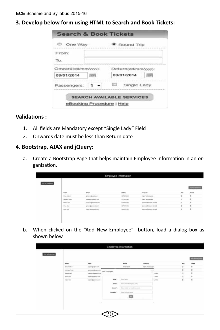#### **3. Develop below form using HTML to Search and Book Tickets:**

| One Way             | Round Trip          |  |
|---------------------|---------------------|--|
| From:               |                     |  |
| To:                 |                     |  |
| Onward(dd/mm/yyyy): | Return(dd/mm/yyyy): |  |
| 08/01/2014          | 08/01/2014          |  |
| Passengers:         | Single Lady         |  |

#### **Validations :**

- 1. All fields are Mandatory except "Single Lady" Field
- 2. Onwards date must be less than Return date

#### **4. Bootstrap, AJAX and jQuery:**

a. Create a Bootstrap Page that helps maintain Employee Information in an organization.

| Employee Information |                                                                                   |                         |                     |                                 |          |                 |  |  |
|----------------------|-----------------------------------------------------------------------------------|-------------------------|---------------------|---------------------------------|----------|-----------------|--|--|
| View At Engineers    |                                                                                   |                         |                     |                                 |          | AALNow Engineer |  |  |
|                      | <b>Name</b>                                                                       | <b>Drust</b>            | Mobile <sub>.</sub> | Company                         | to       | Delete          |  |  |
|                      | <b>TRAILERED</b> AT                                                               | pres milleages com.     | <b>METAZILIMI</b>   | leave Technologies              | ts:      |                 |  |  |
|                      | Alcahaus Prest                                                                    | entres a pobleas conc   | <b>NTNETZIAE</b>    | Vieta Technologies              | o        | $\pm$           |  |  |
|                      | To control the company<br><b><i><u><i><u><b>Address Rests</b></u></i></u></i></b> | transit (@spanians.com) | 6776812252          | Sianuna Solutions ( #14x4       | $\alpha$ | s               |  |  |
|                      | <b>Service And Control</b><br><b>Journal</b>                                      | price of @randwick.com  | saranczoś!          | <b>Samero Schilters Limited</b> | $\alpha$ | ż               |  |  |
|                      | Agent                                                                             | was opponent cen-       | seten (dr.hd)       | Taxerers Solutions Limbed       | ö        | s               |  |  |
|                      |                                                                                   | 아이 지하 아이 집              | 72.500.00           | and the contract of the state   |          |                 |  |  |
|                      |                                                                                   |                         |                     |                                 |          |                 |  |  |
|                      |                                                                                   |                         |                     |                                 |          |                 |  |  |

b. When clicked on the "Add New Employee" button, load a dialog box as shown below

|                                       |                       |                      |                            |                |                |            | And have the places. |
|---------------------------------------|-----------------------|----------------------|----------------------------|----------------|----------------|------------|----------------------|
| سيندى<br>Nema                         | Email                 |                      | Mekle                      | Company        |                | <b>Bay</b> | <b>Delete</b>        |
| <b>Freshkell</b>                      | presidentition:       |                      | NEMARCHE                   | Upor Schridges |                | $\alpha$   | $\pm$                |
| <b>AVAILA</b> FIRST<br>اللاقينانية    | annua (@agruss)       | Add Employee         |                            |                | H.             | G          | в                    |
| <b>Magal</b> Ray<br><b>STATISTICS</b> | Harsey @quereck Zero  |                      |                            |                | Limbed         | $\alpha$   | ×                    |
| Fiss Rec.<br><b>Secretary</b>         | prys rigisteness com  |                      |                            |                | Linear<br>6999 | ü<br>œ     | ä                    |
| Alan Itas                             | <b>ASD IDENTIFIED</b> | Notice <sup>1</sup>  | Taxe have                  |                | Lennis         | $\alpha$   | ×                    |
| $\sim$ 100 $\sim$                     | 772 C                 | <b>Engl</b>          | John weal duringlied home  |                |                |            |                      |
|                                       |                       | Motele               | Alter toma navications and |                |                |            |                      |
|                                       |                       | Company <sup>1</sup> | <b>Side company succe</b>  |                |                |            |                      |
|                                       |                       |                      | 圖                          |                |                |            |                      |
|                                       | v.                    |                      |                            |                |                |            |                      |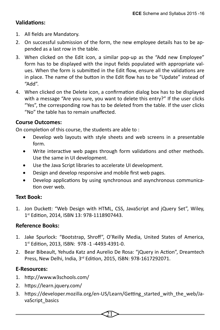## **Validations:**

- 1. All fields are Mandatory.
- 2. On successful submission of the form, the new employee details has to be appended as a last row in the table.
- 3. When clicked on the Edit icon, a similar pop-up as the "Add new Employee" form has to be displayed with the input fields populated with appropriate values. When the form is submitted in the Edit flow, ensure all the validations are in place. The name of the button in the Edit flow has to be "Update" instead of "Add".
- 4. When clicked on the Delete icon, a confirmation dialog box has to be displayed with a message "Are you sure, you want to delete this entry?" If the user clicks "Yes", the corresponding row has to be deleted from the table. If the user clicks "No" the table has to remain unaffected.

#### **Course Outcomes:**

On completion of this course, the students are able to :

- Develop web layouts with style sheets and web screens in a presentable form.
- Write interactive web pages through form validations and other methods. Use the same in UI development.
- Use the Java Script libraries to accelerate UI development.
- Design and develop responsive and mobile first web pages.
- Develop applications by using synchronous and asynchronous communication over web.

#### **Text Book:**

1. Jon Duckett: "Web Design with HTML, CSS, JavaScript and jQuery Set", Wiley, 1st Edition, 2014, ISBN 13: 978-1118907443.

#### **Reference Books:**

- 1. Jake Spurlock: "Bootstrap, Shroff", O'Reilly Media, United States of America, 1st Edition, 2013, ISBN: 978 -1 -4493-4391-0.
- 2. Bear Bibeault, Yehuda Katz and Aurelio De Rosa: "jQuery in Action", Dreamtech Press, New Delhi, India, 3rd Edition, 2015, ISBN: 978-1617292071.

#### **E-Resources:**

- 1. http://www.w3schools.com/
- 2. https://learn.jquery.com/
- 3. https://developer.mozilla.org/en-US/Learn/Getting\_started\_with\_the\_web/JavaScript\_basics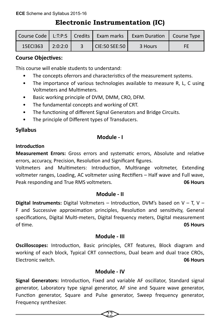# **Electronic Instrumentation (IC)**

|          |         |               | Course Code   L:T:P:S   Credits   Exam marks   Exam Duration   Course Type |    |
|----------|---------|---------------|----------------------------------------------------------------------------|----|
| 15ECI363 | 2:0:2:0 | CIE:50 SEE:50 | 3 Hours                                                                    | FF |

## **Course Objectives:**

This course will enable students to understand:

- The concepts oferrors and characteristics of the measurement systems.
- The importance of various technologies available to measure R, L, C using Voltmeters and Multimeters.
- Basic working principle of DVM, DMM, CRO, DFM.
- The fundamental concepts and working of CRT.
- The functioning of different Signal Generators and Bridge Circuits.
- The principle of Different types of Transducers.

## **Syllabus**

#### **Module - I**

#### **Introduction**

**Measurement Errors:** Gross errors and systematic errors, Absolute and relative errors, accuracy, Precision, Resolution and Significant figures.

Voltmeters and Multimeters: Introduction, Multirange voltmeter, Extending voltmeter ranges, Loading, AC voltmeter using Rectifiers – Half wave and Full wave, Peak responding and True RMS voltmeters. **06 Hours**

#### **Module - II**

**Digital Instruments:** Digital Voltmeters – Introduction, DVM's based on V – T, V – F and Successive approximation principles, Resolution and sensitivity, General specifications, Digital Multi-meters, Digital frequency meters, Digital measurement of time. **05 Hours**

#### **Module - III**

**Oscilloscopes:** Introduction, Basic principles, CRT features, Block diagram and working of each block, Typical CRT connections, Dual beam and dual trace CROs, Electronic switch. **06 Hours**

#### **Module - IV**

**Signal Generators:** Introduction, Fixed and variable AF oscillator, Standard signal generator, Laboratory type signal generator, AF sine and Square wave generator, Function generator, Square and Pulse generator, Sweep frequency generator, Frequency synthesizer.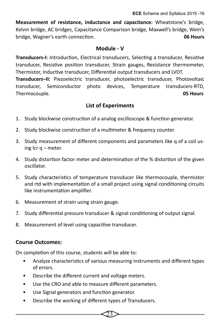**Measurement of resistance, inductance and capacitance:** Wheatstone's bridge, Kelvin bridge, AC bridges, Capacitance Comparison bridge, Maxwell's bridge, Wein's bridge, Wagner's earth connection. **06 Hours**

#### **Module - V**

**Transducers-I:** Introduction, Electrical transducers, Selecting a transducer, Resistive transducer, Resistive position transducer, Strain gauges, Resistance thermometer, Thermistor, Inductive transducer, Differential output transducers and LVDT.

**Transducers–II:** Piezoelectric transducer, photoelectric transducer, Photovoltaic transducer, Semiconductor photo devices, Temperature transducers-RTD, Thermocouple. **05 Hours**

#### **List of Experiments**

- 1. Study blockwise construction of a analog oscilloscope & function generator.
- 2. Study blockwise construction of a multimeter & frequency counter.
- 3. Study measurement of different components and parameters like q of a coil using lcr q – meter.
- 4. Study distortion factor meter and determination of the % distortion of the given oscillator.
- 5. Study characteristics of temperature transducer like thermocouple, thermistor and rtd with implementation of a small project using signal conditioning circuits like instrumentation amplifier.
- 6. Measurement of strain using strain gauge.
- 7. Study differential pressure transducer & signal conditioning of output signal.
- 8. Measurement of level using capacitive transducer.

#### **Course Outcomes:**

On completion of this course, students will be able to:

• Analyze characteristics of various measuring instruments and different types of errors.

- Describe the different current and voltage meters.
- Use the CRO and able to measure different parameters.
- Use Signal generators and function generator.
- Describe the working of different types of Transducers.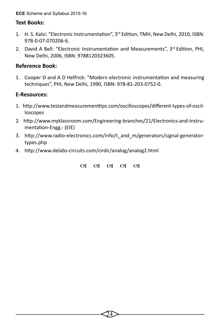**ECE** Scheme and Syllabus 2015-16

#### **Text Books:**

- 1. H. S. Kalsi: "Electronic Instrumentation", 3rd Edition, TMH, New Delhi, 2010, ISBN: 978-0-07-070206-6.
- 2. David A Bell: "Electronic Instrumentation and Measurements",  $3^{rd}$  Edition, PHI, New Delhi, 2006, ISBN: 9788120323605.

#### **Reference Book:**

1. Cooper D and A D Helfrick: "Modern electronic instrumentation and measuring techniques", PHI, New Delhi, 1990, ISBN: 978-81-203-0752-0.

#### **E-Resources:**

- 1. http://www.testandmeasurementtips.com/oscilloscopes/different-types-of-oscilloscopes
- 2. http://www.myklassroom.com/Engineering-branches/21/Electronics-and-Instrumentation-Engg.- (EIE)
- 3. http://www.radio-electronics.com/info/t\_and\_m/generators/signal-generatortypes.php
- 4. http://www.delabs-circuits.com/cirdir/analog/analog2.html

03 03 03 03 03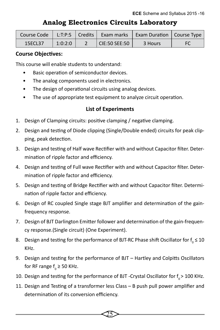## **Analog Electronics Circuits Laboratory**

| Course Code |         | L:T:P:S   Credits   Exam marks | Exam Duration   Course Type |    |
|-------------|---------|--------------------------------|-----------------------------|----|
| 15ECL37     | 1:0:2:0 | $\overline{C}$ CIE:50 SEE:50   | 3 Hours                     | FC |

#### **Course Objectives:**

This course will enable students to understand:

- Basic operation of semiconductor devices.
- The analog components used in electronics.
- The design of operational circuits using analog devices.
- The use of appropriate test equipment to analyze circuit operation.

#### **List of Experiments**

- 1. Design of Clamping circuits: positive clamping / negative clamping.
- 2. Design and testing of Diode clipping (Single/Double ended) circuits for peak clipping, peak detection.
- 3. Design and testing of Half wave Rectifier with and without Capacitor filter. Determination of ripple factor and efficiency.
- 4. Design and testing of Full wave Rectifier with and without Capacitor filter. Determination of ripple factor and efficiency.
- 5. Design and testing of Bridge Rectifier with and without Capacitor filter. Determination of ripple factor and efficiency.
- 6. Design of RC coupled Single stage BJT amplifier and determination of the gainfrequency response.
- 7. Design of BJT Darlington Emitter follower and determination of the gain-frequency response.(Single circuit) (One Experiment).
- 8. Design and testing for the performance of BJT-RC Phase shift Oscillator for  $f_{\overline{0}} \leq 10$ KHz.
- 9. Design and testing for the performance of BJT Hartley and Colpitts Oscillators for RF range  $f_{0}$   $\geq$  50 KHz.
- 10. Design and testing for the performance of BJT -Crystal Oscillator for  $f_{0}$  > 100 KHz.
- 11. Design and Testing of a transformer less Class B push pull power amplifier and determination of its conversion efficiency.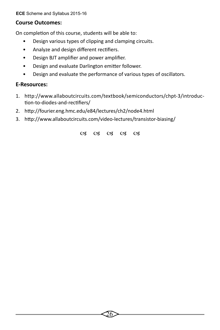**ECE** Scheme and Syllabus 2015-16

#### **Course Outcomes:**

On completion of this course, students will be able to:

- Design various types of clipping and clamping circuits.
- Analyze and design different rectifiers.
- Design BJT amplifier and power amplifier.
- Design and evaluate Darlington emitter follower.
- Design and evaluate the performance of various types of oscillators.

#### **E-Resources:**

- 1. http://www.allaboutcircuits.com/textbook/semiconductors/chpt-3/introduction-to-diodes-and-rectifiers/
- 2. http://fourier.eng.hmc.edu/e84/lectures/ch2/node4.html
- 3. http://www.allaboutcircuits.com/video-lectures/transistor-biasing/

03 03 03 03 03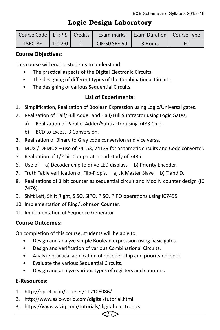| Course Code   L:T:P:S   Credits |         | <b>Exam marks   Exam Duration   Course Type</b> |         |  |
|---------------------------------|---------|-------------------------------------------------|---------|--|
| 15ECL38                         | 1:0:2:0 | CIE:50 SEE:50                                   | 3 Hours |  |

## **Logic Design Laboratory**

#### **Course Objectives:**

This course will enable students to understand:

- The practical aspects of the Digital Electronic Circuits.
- The designing of different types of the Combinational Circuits.
- The designing of various Sequential Circuits.

#### **List of Experiments:**

- 1. Simplification, Realization of Boolean Expression using Logic/Universal gates.
- 2. Realization of Half/Full Adder and Half/Full Subtractor using Logic Gates,
	- a) Realization of Parallel Adder/Subtractor using 7483 Chip.
	- b) BCD to Excess-3 Conversion.
- 3. Realization of Binary to Gray code conversion and vice versa.
- 4. MUX / DEMUX use of 74153, 74139 for arithmetic circuits and Code converter.
- 5. Realization of 1/2 bit Comparator and study of 7485.
- 6. Use of a) Decoder chip to drive LED displays b) Priority Encoder.
- 7. Truth Table verification of Flip-Flop's, a) JK Master Slave b) T and D.
- 8. Realizations of 3 bit counter as sequential circuit and Mod N counter design (IC 7476).
- 9. Shift Left, Shift Right, SISO, SIPO, PISO, PIPO operations using IC7495.
- 10. Implementation of Ring/ Johnson Counter.
- 11. Implementation of Sequence Generator.

#### **Course Outcomes:**

On completion of this course, students will be able to:

- Design and analyze simple Boolean expression using basic gates.
- Design and verification of various Combinational Circuits.
- Analyze practical application of decoder chip and priority encoder.

27

- Evaluate the various Sequential Circuits.
- Design and analyze various types of registers and counters.

#### **E-Resources:**

- 1. http://nptel.ac.in/courses/117106086/
- 2. http://www.asic-world.com/digital/tutorial.html
- 3. https://www.wiziq.com/tutorials/digital-electronics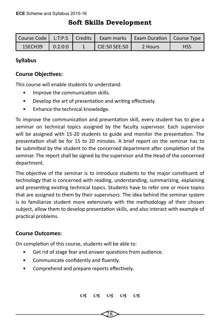## **Soft Skills Development**

| Course Code   L:T:P:S   Credits |         |                          | Exam marks   Exam Duration   Course Type |            |
|---------------------------------|---------|--------------------------|------------------------------------------|------------|
| 15ECH39                         | 0:2:0:0 | $\mathsf{CIE}:50$ SEE:50 | 2 Hours                                  | <b>HSS</b> |

## **Syllabus**

#### **Course Objectives:**

This course will enable students to understand:

- Improve the communication skills.
- Develop the art of presentation and writing effectively.
- Enhance the technical knowledge.

To improve the communication and presentation skill, every student has to give a seminar on technical topics assigned by the faculty supervisor. Each supervisor will be assigned with 15-20 students to guide and monitor the presentation. The presentation shall be for 15 to 20 minutes. A brief report on the seminar has to be submitted by the student to the concerned department after completion of the seminar. The report shall be signed by the supervisor and the Head of the concerned department.

The objective of the seminar is to introduce students to the major constituent of technology that is concerned with reading, understanding, summarizing, explaining and presenting existing technical topics. Students have to refer one or more topics that are assigned to them by their supervisors. The idea behind the seminar system is to familiarize student more extensively with the methodology of their chosen subject, allow them to develop presentation skills, and also interact with example of practical problems.

#### **Course Outcomes:**

On completion of this course, students will be able to:

- Get rid of stage fear and answer questions from audience.
- Communicate confidently and fluently.
- Comprehend and prepare reports effectively.

03 03 03 03 03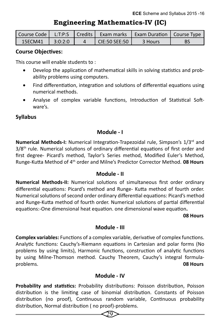## **Engineering Mathematics-IV (IC)**

| l Course Code l | L: T: P: S | LCredits L | Exam marks      | <b>Exam Duration   Course Type</b> |           |
|-----------------|------------|------------|-----------------|------------------------------------|-----------|
| 15FCM41         | 3:0:2:0    |            | $CIF:50$ SFF:50 | 3 Hours                            | <b>BS</b> |

#### **Course Objectives:**

This course will enable students to :

- Develop the application of mathematical skills in solving statistics and probability problems using computers.
- Find differentiation, integration and solutions of differential equations using numerical methods.
- Analyse of complex variable functions, Introduction of Statistical Software's.

#### **Syllabus**

#### **Module - I**

**Numerical Methods-I:** Numerical Integration-Trapezoidal rule, Simpson's 1/3rd and  $3/8$ <sup>th</sup> rule. Numerical solutions of ordinary differential equations of first order and first degree- Picard's method, Taylor's Series method, Modified Euler's Method, Runge-Kutta Method of 4th order and Milne's Predictor Corrector Method. **08 Hours**

#### **Module - II**

**Numerical Methods-II:** Numerical solutions of simultaneous first order ordinary differential equations: Picard's method and Runge- Kutta method of fourth order. Numerical solutions of second order ordinary differential equations: Picard's method and Runge-Kutta method of fourth order. Numerical solutions of partial differential equations:-One dimensional heat equation. one dimensional wave equation**.**

#### **08 Hours**

#### **Module - III**

**Complex variables:** Functions of a complex variable, derivative of complex functions. Analytic functions: Cauchy's-Riemann equations in Cartesian and polar forms (No problems by using limits), Harmonic functions, construction of analytic functions by using Milne-Thomson method. Cauchy Theorem, Cauchy's integral formulaproblems. **08 Hours**

#### **Module - IV**

**Probability and statistics:** Probability distributions: Poisson distribution, Poisson distribution is the limiting case of binomial distribution. Constants of Poisson distribution (no proof), Continuous random variable, Continuous probability distribution, Normal distribution ( no proof)-problems.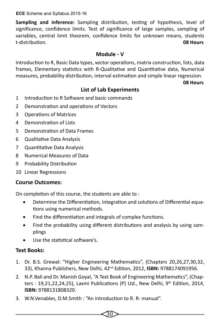**ECE** Scheme and Syllabus 2015-16

**Sampling and inference:** Sampling distribution, testing of hypothesis, level of significance, confidence limits. Test of significance of large samples, sampling of variables, central limit theorem, confidence limits for unknown means, students t-distribution. **08 Hours**

#### **Module - V**

Introduction to R, Basic Data types, vector operations, matrix construction, lists, data frames, Elementary statistics with R-Qualitative and Quantitative data, Numerical measures, probability distribution, interval estimation and simple linear regression.

**08 Hours**

## **List of Lab Experiments**

- 1 Introduction to R Software and basic commands
- 2 Demonstration and operations of Vectors
- 3 Operations of Matrices
- 4 Demonstration of Lists
- 5 Demonstration of Data Frames
- 6 Qualitative Data Analysis
- 7 Quantitative Data Analysis
- 8 Numerical Measures of Data
- 9 Probability Distribution
- 10 Linear Regressions

#### **Course Outcomes:**

On completion of this course, the students are able to :

- Determine the Differentiation, Integration and solutions of Differential equations using numerical methods.
- Find the differentiation and integrals of complex functions.
- Find the probability using different distributions and analysis by using samplings
- Use the statistical software's.

#### **Text Books:**

- 1. Dr. B.S. Grewal: "Higher Engineering Mathematics", (Chapters 20,26,27,30,32, 33), Khanna Publishers, New Delhi, 42nd Edition, 2012, **ISBN:** 9788174091956.
- 2. N.P. Bali and Dr. Manish Goyal, "A Text Book of Engineering Mathematics", (Chapters : 19,21,22,24,25), Laxmi Publications (P) Ltd., New Delhi,  $9<sup>th</sup>$  Edition, 2014, **ISBN:** 9788131808320.
- 3. W.N.Venables, D.M.Smith : "An introduction to R. R- manual".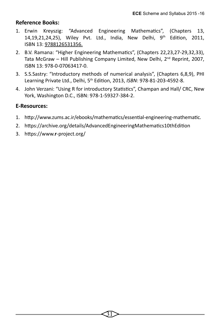#### **Reference Books:**

- 1. Erwin Kreyszig: "Advanced Engineering Mathematics", (Chapters 13, 14,19,21,24,25), Wiley Pvt. Ltd., India, New Delhi, 9th Edition, 2011, ISBN 13: 9788126531356.
- 2. B.V. Ramana: "Higher Engineering Mathematics", (Chapters 22,23,27-29,32,33), Tata McGraw – Hill Publishing Company Limited, New Delhi, 2nd Reprint, 2007, ISBN 13: 978-0-07063417-0.
- 3. S.S.Sastry: "Introductory methods of numerical analysis", (Chapters 6,8,9), PHI Learning Private Ltd., Delhi, 5th Edition, 2013, *ISBN*: 978-81-203-4592-8.
- 4. John Verzani: "Using R for introductory Statistics", Champan and Hall/ CRC, New York, Washington D.C., ISBN: 978-1-59327-384-2.

#### **E-Resources:**

- 1. http://www.zums.ac.ir/ebooks/mathematics/essential-engineering-mathematic*.*
- 2. https://archive.org/details/AdvancedEngineeringMathematics10thEdition
- 3. https://www.**r**-project.org/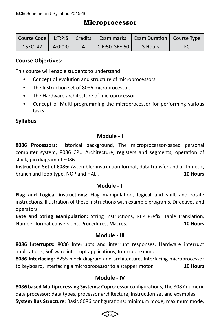## **Microprocessor**

|         |         |               | Course Code   L:T:P:S   Credits   Exam marks   Exam Duration   Course Type |  |
|---------|---------|---------------|----------------------------------------------------------------------------|--|
| 15ECT42 | 4:0:0:0 | CIE:50 SEE:50 | 3 Hours                                                                    |  |

## **Course Objectives:**

This course will enable students to understand:

- Concept of evolution and structure of microprocessors.
- The Instruction set of 8086 microprocessor.
- The Hardware architecture of microprocessor.
- Concept of Multi programming the microprocessor for performing various tasks.

## **Syllabus**

#### **Module - I**

**8086 Processors:** Historical background, The microprocessor-based personal computer system, 8086 CPU Architecture, registers and segments, operation of stack, pin diagram of 8086.

**Instruction Set of 8086:** Assembler instruction format, data transfer and arithmetic, branch and loop type, NOP and HALT. **10 Hours**

#### **Module - II**

**Flag and Logical instructions:** Flag manipulation, logical and shift and rotate instructions. Illustration of these instructions with example programs, Directives and operators.

**Byte and String Manipulation:** String instructions, REP Prefix, Table translation, Number format conversions, Procedures, Macros. **10 Hours**

#### **Module - III**

**8086 Interrupts:** 8086 Interrupts and interrupt responses, Hardware interrupt applications, Software interrupt applications, Interrupt examples.

**8086 Interfacing:** 8255 block diagram and architecture, Interfacing microprocessor to keyboard, Interfacing a microprocessor to a stepper motor. **10 Hours**

## **Module - IV**

**8086 based Multiprocessing Systems**: Coprocessor configurations, The 8087 numeric data processor: data types, processor architecture, instruction set and examples.

**System Bus Structure**: Basic 8086 configurations: minimum mode, maximum mode,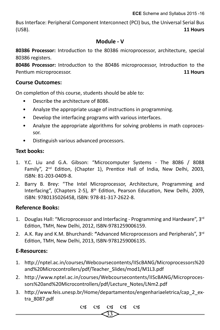Bus Interface: Peripheral Component Interconnect (PCI) bus, the Universal Serial Bus (USB). **11 Hours** 

#### **Module - V**

**80386 Processor:** Introduction to the 80386 microprocessor, architecture, special 80386 registers.

**80486 Processor:** Introduction to the 80486 microprocessor, Introduction to the Pentium microprocessor. **11 Hours**

#### **Course Outcomes:**

On completion of this course, students should be able to:

- Describe the architecture of 8086.
- Analyze the appropriate usage of instructions in programming.
- Develop the interfacing programs with various interfaces.
- Analyze the appropriate algorithms for solving problems in math coprocessor.
- Distinguish various advanced processors.

#### **Text books:**

- 1. Y.C. Liu and G.A. Gibson: "Microcomputer Systems The 8086 / 8088 Family", 2<sup>nd</sup> Edition, (Chapter 1), Prentice Hall of India. New Delhi. 2003. ISBN: 81-203-0409-8.
- 2. Barry B. Brey: "The Intel Microprocessor, Architecture, Programming and Interfacing", (Chapters 2-5), 8th Edition, Pearson Education, New Delhi, 2009, ISBN: 9780135026458, ISBN: 978-81-317-2622-8.

#### **Reference Books:**

- 1. Douglas Hall: "Microprocessor and Interfacing Programming and Hardware",  $3<sup>rd</sup>$ Edition, TMH, New Delhi, 2012, ISBN-9781259006159.
- 2. A.K. Ray and K.M. Bhurchandi: **"**Advanced Microprocessors and Peripherals", 3rd Edition, TMH, New Delhi, 2013, ISBN-9781259006135.

#### **E-Resources:**

- 1. http://nptel.ac.in/courses/Webcoursecontents/IIScBANG/Microprocessors%20 and%20Microcontrollers/pdf/Teacher\_Slides/mod1/M1L3.pdf
- 2. http://www.nptel.ac.in/courses/Webcoursecontents/IIScBANG/Microprocessors%20and%20Microcontrollers/pdf/Lecture\_Notes/LNm2.pdf
- 3. http://www.feis.unesp.br/Home/departamentos/engenhariaeletrica/cap\_2\_extra\_8087.pdf

33 03 03 03 03 03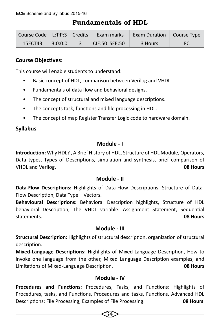## **Fundamentals of HDL**

|         |          | Course Code   L:T:P:S   Credits   Exam marks | Exam Duration   Course Type |  |
|---------|----------|----------------------------------------------|-----------------------------|--|
| 15ECT43 | 13:0:0:0 | $ $ CIE:50 SEE:50                            | 3 Hours                     |  |

## **Course Objectives:**

This course will enable students to understand:

- Basic concept of HDL, comparison between Verilog and VHDL.
- Fundamentals of data flow and behavioral designs.
- The concept of structural and mixed language descriptions.
- The concepts task, functions and file processing in HDL.
- The concept of map Register Transfer Logic code to hardware domain.

## **Syllabus**

## **Module - I**

**Introduction:** Why HDL? , A Brief History of HDL, Structure of HDL Module, Operators, Data types, Types of Descriptions, simulation and synthesis, brief comparison of VHDL and Verilog. **08 Hours**

#### **Module - II**

**Data-Flow Descriptions:** Highlights of Data-Flow Descriptions, Structure of Data-Flow Description, Data Type – Vectors.

**Behavioural Descriptions:** Behavioral Description highlights, Structure of HDL behavioral Description, The VHDL variable: Assignment Statement, Sequential statements. **08 Hours**

#### **Module - III**

**Structural Description:** Highlights of structural description, organization of structural description.

**Mixed-Language Descriptions:** Highlights of Mixed-Language Description, How to invoke one language from the other, Mixed Language Description examples, and Limitations of Mixed-Language Description. **08 Hours**

#### **Module - IV**

**Procedures and Functions:** Procedures, Tasks, and Functions: Highlights of Procedures, tasks, and Functions, Procedures and tasks, Functions. Advanced HDL Descriptions: File Processing, Examples of File Processing. **08 Hours**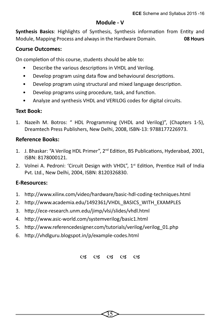#### **Module - V**

**Synthesis Basics**: Highlights of Synthesis, Synthesis information from Entity and Module, Mapping Process and always in the Hardware Domain. **08 Hours**

#### **Course Outcomes:**

On completion of this course, students should be able to:

- Describe the various descriptions in VHDL and Verilog.
- Develop program using data flow and behavioural descriptions.
- Develop program using structural and mixed language description.
- Develop programs using procedure, task, and function.
- Analyze and synthesis VHDL and VERILOG codes for digital circuits.

#### **Text Book:**

1. Nazeih M. Botros: " HDL Programming (VHDL and Verilog)", (Chapters 1-5), Dreamtech Press Publishers, New Delhi, 2008, ISBN-13: 9788177226973.

#### **Reference Books:**

- 1. J. Bhaskar: "A Verilog HDL Primer", 2<sup>nd</sup> Edition, BS Publications, Hyderabad, 2001, ISBN: 8178000121.
- 2. Volnei A. Pedroni: 'Circuit Design with VHDL",  $1^{st}$  Edition, Prentice Hall of India Pvt. Ltd., New Delhi, 2004, ISBN: 8120326830.

#### **E-Resources:**

- 1. http://www.xilinx.com/video/hardware/basic-hdl-coding-techniques.html
- 2. http://www.academia.edu/1492361/VHDL\_BASICS\_WITH\_EXAMPLES
- 3. http://ece-research.unm.edu/jimp/vlsi/slides/vhdl.html
- 4. http://www.asic-world.com/systemverilog/basic1.html
- 5. http://www.referencedesigner.com/tutorials/verilog/verilog\_01.php
- 6. http://vhdlguru.blogspot.in/p/example-codes.html

03 03 03 03 03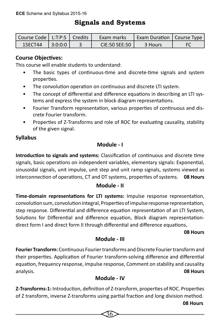# **Signals and Systems**

| Course Code   L:T:P:S   Credits |         | Exam marks    | Exam Duration   Course Type |    |
|---------------------------------|---------|---------------|-----------------------------|----|
| 15ECT44                         | 3:0:0:0 | CIE:50 SEE:50 | 3 Hours                     | FC |

## **Course Objectives:**

This course will enable students to understand:

- The basic types of continuous-time and discrete-time signals and system properties.
- The convolution operation on continuous and discrete LTI system.
- The concept of differential and difference equations in describing an LTI systems and express the system in block diagram representations.
- Fourier Transform representation, various properties of continuous and discrete Fourier transform.
- Properties of Z-Transforms and role of ROC for evaluating causality, stability of the given signal.

## **Syllabus**

#### **Module - I**

**Introduction to signals and systems:** Classification of continuous and discrete time signals, basic operations on independent variables, elementary signals: Exponential, sinusoidal signals, unit impulse, unit step and unit ramp signals, systems viewed as interconnection of operations, CT and DT systems, properties of systems. **08 Hours**

#### **Module - II**

**Time-domain representations for LTI systems:** Impulse response representation, convolution sum, convolution integral, Properties of impulse response representation, step response. Differential and difference equation representation of an LTI System, Solutions for Differential and difference equation, Block diagram representationdirect form I and direct form II through differential and difference equations**.** 

#### **08 Hours**

#### **Module - III**

**Fourier Transform:** Continuous Fourier transforms and Discrete Fourier transform and their properties. Application of Fourier transform-solving difference and differential equation, frequency response, impulse response, Comment on stability and causality analysis. **08 Hours**

#### **Module - IV**

**Z-Transforms-1:** Introduction, definition of Z-transform, properties of ROC. Properties of Z transform, inverse Z-transforms using partial fraction and long division method.

36

#### **08 Hours**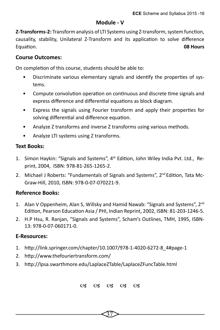#### **Module - V**

**Z-Transforms-2:** Transform analysis of LTI Systems using Z-transform, system function, causality, stability, Unilateral Z-Transform and its application to solve difference Equation. **08 Hours**

#### **Course Outcomes:**

On completion of this course, students should be able to:

- Discriminate various elementary signals and identify the properties of systems.
- Compute convolution operation on continuous and discrete time signals and express difference and differential equations as block diagram.
- Express the signals using Fourier transform and apply their properties for solving differential and difference equation.
- Analyze Z transforms and inverse Z transforms using various methods.
- Analyze LTI systems using Z transforms.

#### **Text Books:**

- 1. Simon Haykin: "Signals and Systems", 4<sup>th</sup> Edition, John Wiley India Pvt. Ltd., Reprint, 2004, ISBN: 978-81-265-1265-2.
- 2. Michael J Roberts: "Fundamentals of Signals and Systems",  $2<sup>nd</sup>$  Edition, Tata Mc-Graw-Hill, 2010, ISBN: 978-0-07-070221-9.

#### **Reference Books:**

- 1. Alan V Oppenheim, Alan S, Willsky and Hamid Nawab: "Signals and Systems", 2nd Edition, Pearson Education Asia / PHI, Indian Reprint, 2002, ISBN: 81-203-1246-5.
- 2. H.P Hsu, R. Ranjan, "Signals and Systems", Scham's Outlines, TMH, 1995, ISBN-13: 978-0-07-060171-0.

#### **E-Resources:**

- 1. http://link.springer.com/chapter/10.1007/978-1-4020-6272-8\_4#page-1
- 2. http://www.thefouriertransform.com/
- 3. http://lpsa.swarthmore.edu/LaplaceZTable/LaplaceZFuncTable.html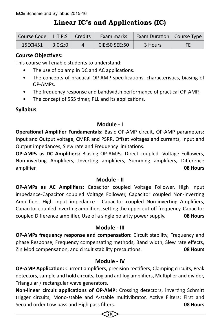# **Linear IC's and Applications (IC)**

| Course Code   L:T:P:S   Credits |         | Exam marks    | Exam Duration   Course Type |    |
|---------------------------------|---------|---------------|-----------------------------|----|
| 15ECI451                        | 3:0:2:0 | CIE:50 SEE:50 | 3 Hours                     | FF |

## **Course Objectives:**

This course will enable students to understand:

- The use of op amp in DC and AC applications.
- The concepts of practical OP-AMP specifications, characteristics, biasing of OP-AMPs.
- The frequency response and bandwidth performance of practical OP-AMP.
- The concept of 555 timer, PLL and its applications.

## **Syllabus**

#### **Module - I**

**Operational Amplifier Fundamentals:** Basic OP-AMP circuit, OP-AMP parameters: Input and Output voltage, CMRR and PSRR, Offset voltages and currents, Input and Output impedances, Slew rate and Frequency limitations.

**OP-AMPs as DC Amplifiers:** Biasing OP-AMPs, Direct coupled -Voltage Followers, Non-inverting Amplifiers, Inverting amplifiers, Summing amplifiers, Difference amplifier. **08 Hours**

#### **Module - II**

**OP-AMPs as AC Amplifiers:** Capacitor coupled Voltage Follower, High input impedance-Capacitor coupled Voltage Follower, Capacitor coupled Non-inverting Amplifiers, High input impedance - Capacitor coupled Non-inverting Amplifiers, Capacitor coupled Inverting amplifiers, setting the upper cut-off frequency, Capacitor coupled Difference amplifier, Use of a single polarity power supply. **08 Hours**

#### **Module - III**

**OP-AMPs frequency response and compensation:** Circuit stability, Frequency and phase Response, Frequency compensating methods, Band width, Slew rate effects, Zin Mod compensation, and circuit stability precautions. **08 Hours**

#### **Module - IV**

**OP-AMP Application:** Current amplifiers, precision rectifiers, Clamping circuits, Peak detectors, sample and hold circuits, Log and antilog amplifiers, Multiplier and divider, Triangular / rectangular wave generators.

**Non-linear circuit applications of OP-AMP:** Crossing detectors, inverting Schmitt trigger circuits, Mono-stable and A-stable multivibrator, Active Filters: First and Second order Low pass and High pass filters. **08 Hours**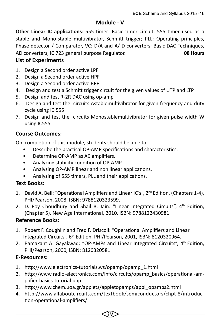#### **Module - V**

**Other Linear IC applications**: 555 timer: Basic timer circuit, 555 timer used as a stable and Mono-stable multivibrator, Schmitt trigger; PLL: Operating principles, Phase detector / Comparator, VC; D/A and A/ D converters: Basic DAC Techniques, AD converters, IC 723 general purpose Regulator. **08 Hours**

## **List of Experiments**

- 1. Design a Second order active LPF
- 2. Design a Second order active HPF
- 3. Design a Second order active BPF
- 4. Design and test a Schmitt trigger circuit for the given values of UTP and LTP
- 5. Design and test R-2R DAC using op-amp
- 6. Design and test the circuits Astablemultivibrator for given frequency and duty cycle using IC 555
- 7. Design and test the circuits Monostablemultivibrator for given pulse width W using IC555

## **Course Outcomes:**

On completion of this module, students should be able to:

- Describe the practical OP-AMP specifications and characteristics.
- Determine OP-AMP as AC amplifiers.
- Analyzing stability condition of OP-AMP.
- Analyzing OP-AMP linear and non linear applications.
- Analyzing of 555 timers, PLL and their applications.

## **Text Books:**

- 1. David A. Bell: "Operational Amplifiers and Linear IC's", 2<sup>nd</sup> Edition, (Chapters 1-4), PHI/Pearson, 2008, ISBN: 9788120323599.
- 2. D. Roy Choudhury and Shail B. Jain: "Linear Integrated Circuits", 4<sup>th</sup> Edition, (Chapter 5), New Age International, 2010, ISBN: 9788122430981.

## **Reference Books:**

- 1. Robert F. Coughlin and Fred F. Driscoll: "Operational Amplifiers and Linear Integrated Circuits", 6th Edition, PHI/Pearson, 2001, ISBN: 8120320964.
- 2. Ramakant A. Gayakwad: "OP-AMPs and Linear Integrated Circuits", 4<sup>th</sup> Edition, PHI/Pearson, 2000, ISBN: 8120320581.

## **E-Resources:**

- 1. http://www.electronics-tutorials.ws/opamp/opamp\_1.html
- 2. http://www.radio-electronics.com/info/circuits/opamp\_basics/operational-amplifier-basics-tutorial.php
- 3. http://www.chem.uoa.gr/applets/appletopamps/appl\_opamps2.html
- 4. http://www.allaboutcircuits.com/textbook/semiconductors/chpt-8/introduction-operational-amplifiers/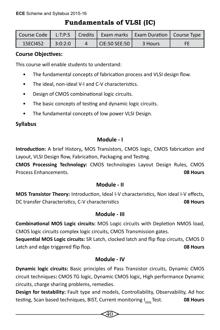# **Fundamentals of VLSI (IC)**

|          |         |               | Course Code   L:T:P:S   Credits   Exam marks   Exam Duration   Course Type |    |
|----------|---------|---------------|----------------------------------------------------------------------------|----|
| 15ECI452 | 3:0:2:0 | CIE:50 SEE:50 | 3 Hours                                                                    | FF |

## **Course Objectives:**

This course will enable students to understand:

- The fundamental concepts of fabrication process and VLSI design flow.
- The ideal, non-ideal V-I and C-V characteristics.
- Design of CMOS combinational logic circuits.
- The basic concepts of testing and dynamic logic circuits.
- The fundamental concepts of low power VLSI Design.

## **Syllabus**

## **Module - I**

**Introduction:** A brief History**,** MOS Transistors, CMOS logic, CMOS fabrication and Layout, VLSI Design flow, Fabrication, Packaging and Testing.

**CMOS Processing Technology:** CMOS technologies Layout Design Rules, CMOS Process Enhancements. **08 Hours**

#### **Module - II**

**MOS Transistor Theory:** Introduction, Ideal I-V characteristics, Non ideal I-V effects, DC transfer Characteristics, C-V characteristics **08 Hours**

#### **Module - III**

**Combinational MOS Logic circuits:** MOS Logic circuits with Depletion NMOS load, CMOS logic circuits complex logic circuits, CMOS Transmission gates.

**Sequential MOS Logic circuits:** SR Latch, clocked latch and flip flop circuits, CMOS D Latch and edge triggered flip flop. **08 Hours**

## **Module - IV**

**Dynamic logic circuits:** Basic principles of Pass Transistor circuits, Dynamic CMOS circuit techniques**:** CMOS TG logic, Dynamic CMOS logic, High performance Dynamic circuits, charge sharing problems, remedies.

**Design for testability:** Fault type and models, Controllability, Observability, Ad hoc testing, Scan based techniques, BIST, Current monitoring I<sub>nno</sub> Test. **08 Hours** 

 $40\,$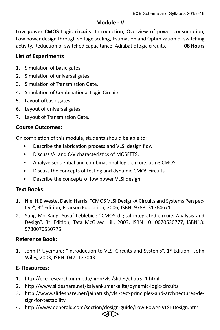#### **Module - V**

**Low power CMOS Logic circuits:** Introduction, Overview of power consumption, Low power design through voltage scaling, Estimation and Optimization of switching activity, Reduction of switched capacitance, Adiabatic logic circuits. **08 Hours**

#### **List of Experiments**

- 1. Simulation of basic gates.
- 2. Simulation of universal gates.
- 3. Simulation of Transmission Gate.
- 4. Simulation of Combinational Logic Circuits.
- 5. Layout ofbasic gates.
- 6. Layout of universal gates.
- 7. Layout of Transmission Gate.

#### **Course Outcomes:**

On completion of this module, students should be able to:

- Describe the fabrication process and VLSI design flow.
- Discuss V-I and C-V characteristics of MOSFETS.
- Analyze sequential and combinational logic circuits using CMOS.
- Discuss the concepts of testing and dynamic CMOS circuits.
- Describe the concepts of low power VLSI design.

#### **Text Books:**

- 1. Niel H.E Weste, David Harris: "CMOS VLSI Design-A Circuits and Systems Perspective", 3rd Edition, Pearson Education, 2006, ISBN: 9788131764671.
- 2. Sung Mo Kang, Yusuf Leblebici: "CMOS digital integrated circuits-Analysis and Design", 3rd Edition, Tata McGraw Hill, 2003, ISBN 10: 0070530777, ISBN13: 9780070530775.

#### **Reference Book:**

1. John P. Uyemura: "Introduction to VLSI Circuits and Systems", 1<sup>st</sup> Edition, John Wiley, 2003, ISBN: 0471127043.

#### **E- Resources:**

- 1. http://ece-research.unm.edu/jimp/vlsi/slides/chap3\_1.html
- 2. http://www.slideshare.net/kalyankumarkalita/dynamic-logic-circuits
- 3. http://www.slideshare.net/jainatush/vlsi-test-principles-and-architectures-design-for-testability
- $41\,$ 4. http://www.eeherald.com/section/design-guide/Low-Power-VLSI-Design.html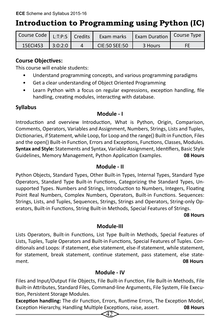# **Introduction to Programming using Python (IC)**

| Course Code   L:T:P:S   Credits |         | Exam marks    | <b>Lexam Duration   Course Type</b> |    |
|---------------------------------|---------|---------------|-------------------------------------|----|
| 15ECI453                        | 3:0:2:0 | CIE:50 SEE:50 | 3 Hours                             | ЕF |

#### **Course Objectives:**

This course will enable students:

- Understand programming concepts, and various programming paradigms
- Get a clear understanding of Object Oriented Programming
- Learn Python with a focus on regular expressions, exception handling, file handling, creating modules, interacting with database.

## **Syllabus**

#### **Module - I**

Introduction and overview Introduction, What is Python, Origin, Comparison, Comments, Operators, Variables and Assignment, Numbers, Strings, Lists and Tuples, Dictionaries, if Statement, while Loop, for Loop and the range() Built-in Function, Files and the open() Built-in Function, Errors and Exceptions, Functions, Classes, Modules. **Syntax and Style:** Statements and Syntax, Variable Assignment, Identifiers, Basic Style Guidelines, Memory Management, Python Application Examples. **08 Hours**

#### **Module - II**

Python Objects, Standard Types, Other Built-in Types, Internal Types, Standard Type Operators, Standard Type Built-in Functions, Categorizing the Standard Types, Unsupported Types. Numbers and Strings, Introduction to Numbers, Integers, Floating Point Real Numbers, Complex Numbers, Operators, Built-in Functions. Sequences: Strings, Lists, and Tuples, Sequences, Strings, Strings and Operators, String-only Operators, Built-in Functions, String Built-in Methods, Special Features of Strings.

#### **08 Hours 1986 1986 1986 1986 1986 1986 1986 1986 1986 1986 1986**

#### **Module-III**

Lists Operators, Built-in Functions, List Type Built-in Methods, Special Features of Lists, Tuples, Tuple Operators and Built-in Functions, Special Features of Tuples. Conditionals and Loops: if statement, else statement, else-if statement, while statement, for statement, break statement, continue statement, pass statement, else statement. **08 Hours**

#### **Module - IV**

Files and Input/Output File Objects, File Built-in Function, File Built-in Methods, File Built-in Attributes, Standard Files, Command-line Arguments, File System, File Execution, Persistent Storage Modules.

**Exception handling:** The dir Function, Errors, Runtime Errors, The Exception Model, Exception Hierarchy, Handling Multiple Exceptions, raise, assert. **08 Hours**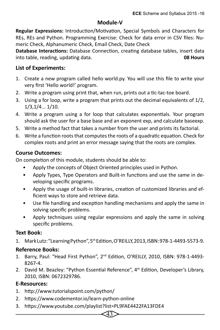#### **Module-V**

**Regular Expressions:** Introduction/Motivation, Special Symbols and Characters for REs, REs and Python. Programming Exercise: Check for data error in CSV files: Numeric Check, Alphanumeric Check, Email Check, Date Check

**Database Interactions:** Database Connection, creating database tables, insert data into table, reading, updating data. **08 Hours**

## **List of Experiments:**

- 1. Create a new program called hello world.py. You will use this file to write your very first 'Hello world!' program.
- 2. Write a program using print that, when run, prints out a tic-tac-toe board.
- 3. Using a for loop, write a program that prints out the decimal equivalents of 1/2, 1/3,1/4... 1/10.
- 4. Write a program using a for loop that calculates exponentials. Your program should ask the user for a base base and an exponent exp, and calculate baseexp.
- 5. Write a method fact that takes a number from the user and prints its factorial.
- 6. Write a function roots that computes the roots of a quadratic equation. Check for complex roots and print an error message saying that the roots are complex.

#### **Course Outcomes:**

On completion of this module, students should be able to:

- Apply the concepts of Object Oriented principles used in Python.
- Apply Types, Type Operators and Built-in functions and use the same in developing specific programs.
- Apply the usage of built-in libraries, creation of customized libraries and efficient ways to store and retrieve data.
- Use file handling and exception handling mechanisms and apply the same in solving specific problems.
- Apply techniques using regular expressions and apply the same in solving specific problems.

#### **Text Book:**

1. Mark Lutz: "Learning Python", 5<sup>th</sup> Edition, O'REILLY, 2013, ISBN: 978-1-4493-5573-9.

#### **Reference Books:**

- 1. Barry, Paul: "Head First Python", 2nd Edition, O'REILLY, 2010, ISBN: 978-1-4493- 8267-4.
- 2. David M. Beazley: "Python Essential Reference", 4<sup>th</sup> Edition, Developer's Library, 2010, ISBN: 0672329786.

43

#### **E-Resources:**

- 1. http://www.tutorialspoint.com/python/
- 2. https://www.codementor.io/learn-python-online
- 3. https://www.youtube.com/playlist?list=PL9FAE4422FA13FDE4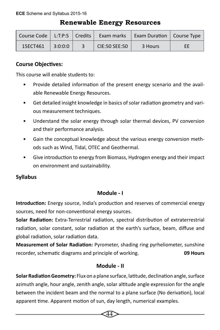|  |  | <b>Renewable Energy Resources</b> |
|--|--|-----------------------------------|
|--|--|-----------------------------------|

|          |         |               | Course Code   L:T:P:S   Credits   Exam marks   Exam Duration   Course Type |    |
|----------|---------|---------------|----------------------------------------------------------------------------|----|
| 15ECT461 | 3:0:0:0 | CIE:50 SEE:50 | 3 Hours                                                                    | EE |

## **Course Objectives:**

This course will enable students to:

- Provide detailed information of the present energy scenario and the available Renewable Energy Resources.
- Get detailed insight knowledge in basics of solar radiation geometry and various measurement techniques.
- Understand the solar energy through solar thermal devices, PV conversion and their performance analysis.
- Gain the conceptual knowledge about the various energy conversion methods such as Wind, Tidal, OTEC and Geothermal.
- Give introduction to energy from Biomass, Hydrogen energy and their impact on environment and sustainability.

## **Syllabus**

#### **Module - I**

**Introduction:** Energy source, India's production and reserves of commercial energy sources, need for non-conventional energy sources.

**Solar Radiation:** Extra-Terrestrial radiation, spectral distribution of extraterrestrial radiation, solar constant, solar radiation at the earth's surface, beam, diffuse and global radiation, solar radiation data.

**Measurement of Solar Radiation:** Pyrometer, shading ring pyrheliometer, sunshine recorder, schematic diagrams and principle of working. **09 Hours** 

#### **Module - II**

**Solar Radiation Geometry:** Flux on a plane surface, latitude, declination angle, surface azimuth angle, hour angle, zenith angle, solar altitude angle expression for the angle between the incident beam and the normal to a plane surface (No derivation), local apparent time. Apparent motion of sun, day length, numerical examples.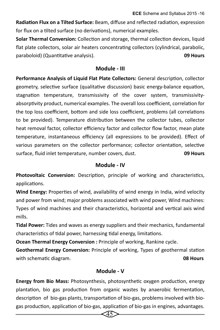**Radiation Flux on a Tilted Surface:** Beam, diffuse and reflected radiation, expression for flux on a tilted surface (no derivations), numerical examples.

**Solar Thermal Conversion:** Collection and storage, thermal collection devices, liquid flat plate collectors, solar air heaters concentrating collectors (cylindrical, parabolic, paraboloid) (Quantitative analysis). **09 Hours**

#### **Module - III**

**Performance Analysis of Liquid Flat Plate Collectors:** General description, collector geometry, selective surface (qualitative discussion) basic energy-balance equation, stagnation temperature, transmissivity of the cover system, transmissivityabsorptivity product, numerical examples. The overall loss coefficient, correlation for the top loss coefficient, bottom and side loss coefficient, problems (all correlations to be provided). Temperature distribution between the collector tubes, collector heat removal factor, collector efficiency factor and collector flow factor, mean plate temperature, instantaneous efficiency (all expressions to be provided). Effect of various parameters on the collector performance; collector orientation, selective surface, fluid inlet temperature, number covers, dust. **09 Hours**

#### **Module - IV**

**Photovoltaic Conversion:** Description, principle of working and characteristics, applications.

**Wind Energy:** Properties of wind, availability of wind energy in India, wind velocity and power from wind; major problems associated with wind power, Wind machines: Types of wind machines and their characteristics, horizontal and vertical axis wind mills.

**Tidal Power:** Tides and waves as energy suppliers and their mechanics, fundamental characteristics of tidal power, harnessing tidal energy, limitations.

**Ocean Thermal Energy Conversion :** Principle of working, Rankine cycle.

**Geothermal Energy Conversion:** Principle of working, Types of geothermal station with schematic diagram. **08 Hours**

#### **Module - V**

**Energy from Bio Mass:** Photosynthesis, photosynthetic oxygen production, energy plantation, bio gas production from organic wastes by anaerobic fermentation, description of bio-gas plants, transportation of bio-gas, problems involved with biogas production, application of bio-gas, application of bio-gas in engines, advantages.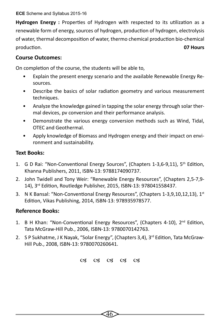**Hydrogen Energy :** Properties of Hydrogen with respected to its utilization as a renewable form of energy, sources of hydrogen, production of hydrogen, electrolysis of water, thermal decomposition of water, thermo chemical production bio-chemical production. **07 Hours**

## **Course Outcomes:**

On completion of the course, the students will be able to,

- Explain the present energy scenario and the available Renewable Energy Resources.
- Describe the basics of solar radiation geometry and various measurement techniques.
- Analyze the knowledge gained in tapping the solar energy through solar thermal devices, pv conversion and their performance analysis.
- Demonstrate the various energy conversion methods such as Wind, Tidal, OTEC and Geothermal.
- Apply knowledge of Biomass and Hydrogen energy and their impact on environment and sustainability.

## **Text Books:**

- 1. G D Rai: "Non-Conventional Energy Sources", (Chapters 1-3,6-9,11), 5th Edition, Khanna Publishers, 2011, ISBN-13: 9788174090737.
- 2. John Twidell and Tony Weir: "Renewable Energy Resources", (Chapters 2,5-7,9- 14), 3rd Edition, Routledge Publisher, 2015, ISBN-13: 978041558437.
- 3. N K Bansal: "Non-Conventional Energy Resources", (Chapters 1-3,9,10,12,13), 1st Edition, Vikas Publishing, 2014, ISBN-13: 978935978577.

## **Reference Books:**

- 1. B H Khan: "Non-Conventional Energy Resources", (Chapters 4-10), 2<sup>nd</sup> Edition, Tata McGraw-Hill Pub., 2006, ISBN-13: 9780070142763.
- 2. S P Sukhatme, J K Nayak, "Solar Energy", (Chapters 3,4),  $3<sup>rd</sup>$  Edition, Tata McGraw-Hill Pub., 2008, ISBN-13: 9780070260641.

03 03 03 03 03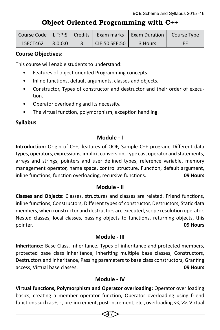## **Object Oriented Programming with C++**

|                        |  |                           | Course Code   L:T:P:S   Credits   Exam marks   Exam Duration   Course Type |    |
|------------------------|--|---------------------------|----------------------------------------------------------------------------|----|
| $15ECT462$   $3:0:0:0$ |  | $^{\prime}$ CIE:50 SEE:50 | 3 Hours                                                                    | FF |

#### **Course Objectives:**

This course will enable students to understand:

- Features of object oriented Programming concepts.
- Inline functions, default arguments, classes and objects.
- Constructor, Types of constructor and destructor and their order of execution.
- Operator overloading and its necessity.
- The virtual function, polymorphism, exception handling.

#### **Syllabus**

#### **Module - I**

**Introduction:** Origin of C++, features of OOP, Sample C++ program, Different data types, operators, expressions, implicit conversion, Type cast operator and statements, arrays and strings, pointers and user defined types, reference variable, memory management operator, name space, control structure, Function, default argument, inline functions, function overloading, recursive functions. **09 Hours** 

#### **Module - II**

**Classes and Objects:** Classes, structures and classes are related. Friend functions, inline functions, Constructors, Different types of constructor, Destructors, Static data members, when constructor and destructors are executed, scope resolution operator. Nested classes, local classes, passing objects to functions, returning objects, this pointer. **09 Hours**

#### **Module - III**

**Inheritance:** Base Class, Inheritance, Types of inheritance and protected members, protected base class inheritance, inheriting multiple base classes, Constructors, Destructors and inheritance, Passing parameters to base class constructors, Granting access, Virtual base classes. **09 Hours**

#### **Module - IV**

**Virtual functions, Polymorphism and Operator overloading:** Operator over loading basics, creating a member operator function, Operator overloading using friend functions such as +, - , pre-increment, post-increment, etc., overloading <<, >>. Virtual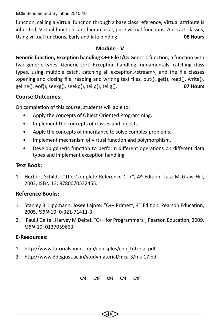**ECE** Scheme and Syllabus 2015-16

function, calling a Virtual function through a base class reference, Virtual attribute is inherited; Virtual functions are hierarchical, pure virtual functions, Abstract classes, Using virtual functions, Early and late binding. **08 Hours**

#### **Module - V**

**Generic function, Exception handling C++ File I/O:** Generic function, a function with two generic types, Generic sort. Exception handling fundamentals, catching class types, using multiple catch, catching all exception.<stream>, and the file classes ,opening and closing file, reading and writing text files, put(), get(), read(), write(), geline(), eof(), seekg(), seekp(), tellp(), tellg(). **07 Hours**

## **Course Outcomes:**

On completion of this course, students will able to:

- Apply the concepts of Object Oriented Programming.
- Implement the concepts of classes and objects.
- Apply the concepts of inheritance to solve complex problems.
- Implement mechanism of virtual function and polymorphism.
- Develop generic function to perform different operations on different data types and implement exception handling.

## **Text Book:**

1. Herbert Schildt: "The Complete Reference C++", 4<sup>th</sup> Edition, Tata McGraw Hill, 2003, ISBN 13: 9780070532465.

#### **Reference Books:**

- 1. Stanley B. Lippmann, Josee Lajore: "C++ Primer", 4th Edition, Pearson Education, 2005, *ISBN*-10: 0-321-71411-3.
- 2. Paul J Deitel, Harvey M Deitel: "C++ for Programmers", Pearson Education, 2009, *ISBN*-10: 0137059663.

## **E-Resources:**

- 1. http://www.tutorialspoint.com/cplusplus/cpp\_tutorial.pdf
- 2. http://www.ddegjust.ac.in/studymaterial/mca-3/ms-17.pdf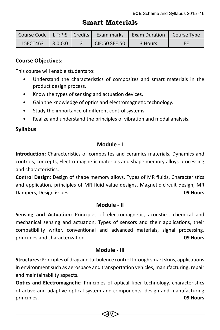## **Smart Materials**

|                  |  |               | Course Code   L:T:P:S   Credits   Exam marks   Exam Duration   Course Type |    |
|------------------|--|---------------|----------------------------------------------------------------------------|----|
| 15ECT463 3:0:0:0 |  | CIE:50 SEE:50 | 3 Hours                                                                    | EE |

#### **Course Objectives:**

This course will enable students to:

- Understand the characteristics of composites and smart materials in the product design process.
- Know the types of sensing and actuation devices.
- Gain the knowledge of optics and electromagnetic technology.
- Study the importance of different control systems.
- Realize and understand the principles of vibration and modal analysis.

## **Syllabus**

## **Module - I**

**Introduction:** Characteristics of composites and ceramics materials, Dynamics and controls, concepts, Electro-magnetic materials and shape memory alloys-processing and characteristics.

**Control Design:** Design of shape memory alloys, Types of MR fluids, Characteristics and application, principles of MR fluid value designs, Magnetic circuit design, MR Dampers, Design issues. **09 Hours** 

#### **Module - II**

**Sensing and Actuation:** Principles of electromagnetic, acoustics, chemical and mechanical sensing and actuation, Types of sensors and their applications, their compatibility writer, conventional and advanced materials, signal processing, principles and characterization. **09 Hours** 

#### **Module - III**

**Structures:** Principles of drag and turbulence control through smart skins, applications in environment such as aerospace and transportation vehicles, manufacturing, repair and maintainability aspects.

**Optics and Electromagnetic:** Principles of optical fiber technology, characteristics of active and adaptive optical system and components, design and manufacturing principles. **09 Hours**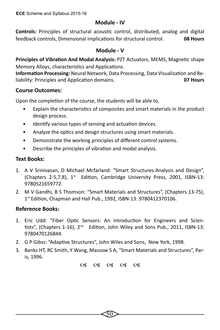#### **Module - IV**

**Controls:** Principles of structural acoustic control, distributed, analog and digital feedback controls, Dimensional implications for structural control. **08 Hours**

#### **Module - V**

**Principles of Vibration And Modal Analysis:** PZT Actuators, MEMS, Magnetic shape Memory Alloys, characteristics and Applications.

**Information Processing:** Neural Network, Data Processing, Data Visualization and Reliability: Principles and Application domains. **07 Hours**

#### **Course Outcomes:**

Upon the completion of the course, the students will be able to,

- Explain the characteristics of composites and smart materials in the product design process.
- Identify various types of sensing and actuation devices.
- Analyze the optics and design structures using smart materials.
- Demonstrate the working principles of different control systems.
- Describe the principles of vibration and modal analysis.

#### **Text Books:**

- 1. A V Srinivasan, D Michael Mcfarland: "Smart Structures:Analysis and Design", (Chapters 2-5,7,8), 1<sup>st</sup> Edition, Cambridge University Press, 2001, ISBN-13: 9780521659772.
- 2. M V Gandhi, B S Thomson: "Smart Materials and Structures", (Chapters 13-75), 1st Edition, Chapman and Hall Pub., 1992, ISBN-13: 9780412370106.

#### **Reference Books:**

- 1. Eric Udd: "Fiber Optic Sensors: An introduction for Engineers and Scientists", (Chapters 1-16), 2nd Edition, John Wiley and Sons Pub., 2011, ISBN-13: 9780470126844.
- 2. G P Gibss: "Adaptive Structures", John Wiles and Sons, New York, 1998.
- 3. Banks HT, RC Smith, Y Wang, Massow S A, "Smart Materials and Structures", Paris, 1996.

03 03 03 03 03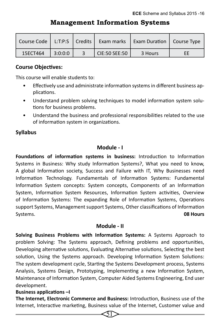## **Management Information Systems**

| Course Code |         |               | L:T:P:S   Credits   Exam marks   Exam Duration   Course Type |    |
|-------------|---------|---------------|--------------------------------------------------------------|----|
| 15ECT464    | 3:0:0:0 | CIE:50 SEE:50 | 3 Hours                                                      | EE |

#### **Course Objectives:**

This course will enable students to:

- Effectively use and administrate information systems in different business applications.
- Understand problem solving techniques to model information system solutions for business problems.
- Understand the business and professional responsibilities related to the use of information system in organizations.

#### **Syllabus**

#### **Module - I**

**Foundations of information systems in business:** Introduction to Information Systems in Business: Why study Information Systems?, What you need to know, A global Information society, Success and Failure with IT, Why Businesses need Information Technology. Fundamentals of Information Systems: Fundamental Information System concepts: System concepts, Components of an Information System, Information System Resources, Information System activities, Overview of Information Systems: The expanding Role of Information Systems, Operations support Systems, Management support Systems, Other classifications of Information Systems. **08 Hours** 

#### **Module - II**

**Solving Business Problems with Information Systems:** A Systems Approach to problem Solving: The Systems approach, Defining problems and opportunities, Developing alternative solutions, Evaluating Alternative solutions, Selecting the best solution, Using the Systems approach. Developing Information System Solutions: The system development cycle, Starting the Systems Development process, Systems Analysis, Systems Design, Prototyping, Implementing a new Information System, Maintenance of Information System, Computer Aided Systems Engineering, End user development.

#### **Business applications –I**

**The Internet, Electronic Commerce and Business:** Introduction, Business use of the Internet, Interactive marketing, Business value of the Internet, Customer value and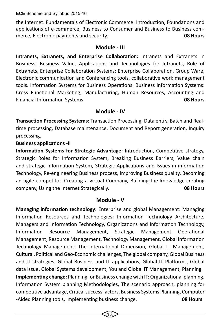**ECE** Scheme and Syllabus 2015-16

the Internet. Fundamentals of Electronic Commerce: Introduction, Foundations and applications of e-commerce, Business to Consumer and Business to Business commerce, Electronic payments and security. **08 Hours**

#### **Module - III**

**Intranets, Extranets, and Enterprise Collaboration:** Intranets and Extranets in Business: Business Value, Applications and Technologies for Intranets, Role of Extranets, Enterprise Collaboration Systems: Enterprise Collaboration, Group Ware, Electronic communication and Conferencing tools, collaborative work management tools. Information Systems for Business Operations: Business Information Systems: Cross Functional Marketing, Manufacturing, Human Resources, Accounting and Financial Information Systems. **08 Hours**

#### **Module - IV**

**Transaction Processing Systems:** Transaction Processing, Data entry, Batch and Realtime processing, Database maintenance, Document and Report generation, Inquiry processing.

#### **Business applications -II**

**Information Systems for Strategic Advantage:** Introduction, Competitive strategy, Strategic Roles for Information System, Breaking Business Barriers, Value chain and strategic Information System, Strategic Applications and Issues in information Technology, Re-engineering Business process, Improving Business quality, Becoming an agile competitor. Creating a virtual Company, Building the knowledge-creating company, Using the Internet Strategically. **08 Hours**

#### **Module - V**

**Managing information technology:** Enterprise and global Management: Managing Information Resources and Technologies: Information Technology Architecture, Managers and Information Technology, Organizations and Information Technology, Information Resource Management, Strategic Management Operational Management, Resource Management, Technology Management, Global Information Technology Management: The International Dimension, Global IT Management, Cultural, Political and Geo-Economic challenges, The global company, Global Business and IT strategies, Global Business and IT applications, Global IT Platforms, Global data Issue, Global Systems development, You and Global IT Management, Planning. **Implementing change:** Planning for Business change with IT: Organizational planning, Information System planning Methodologies, The scenario approach, planning for competitive advantage, Critical success factors, Business Systems Planning, Computer -Aided Planning tools, implementing business change. **08 Hours**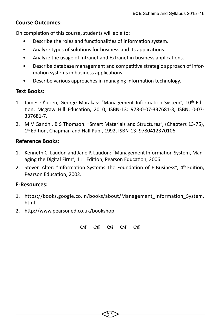#### **Course Outcomes:**

On completion of this course, students will able to:

- Describe the roles and functionalities of information system.
- Analyze types of solutions for business and its applications.
- Analyze the usage of Intranet and Extranet in business applications.
- Describe database management and competitive strategic approach of information systems in business applications.
- Describe various approaches in managing information technology.

#### **Text Books:**

- 1. James O'brien, George Marakas: "Management Information System", 10th Edition, Mcgraw Hill Education, 2010, ISBN-13: 978-0-07-337681-3, ISBN: 0-07- 337681-7.
- 2. M V Gandhi, B S Thomson: "Smart Materials and Structures", (Chapters 13-75), 1st Edition, Chapman and Hall Pub., 1992, ISBN-13: 9780412370106.

#### **Reference Books:**

- 1. Kenneth C. Laudon and Jane P. Laudon: "Management Information System, Managing the Digital Firm", 11<sup>th</sup> Edition, Pearson Education, 2006.
- 2. Steven Alter: "Information Systems-The Foundation of E-Business". 4<sup>th</sup> Edition. Pearson Education, 2002.

#### **E-Resources:**

- 1. https://books.google.co.in/books/about/Management\_Information\_System. html.
- 2. http://www.pearsoned.co.uk/bookshop.

03 03 03 03 03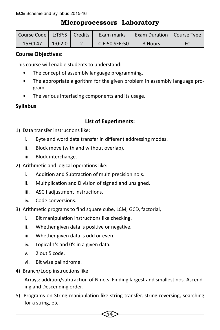## **Microprocessors Laboratory**

| Course Code   L:T:P:S   Credits |         | Exam marks    | <b>Exam Duration   Course Type</b> |    |
|---------------------------------|---------|---------------|------------------------------------|----|
| 15ECL47                         | 1:0:2:0 | CIE:50 SEE:50 | 3 Hours                            | FC |

## **Course Objectives:**

This course will enable students to understand:

- The concept of assembly language programming.
- The appropriate algorithm for the given problem in assembly language program.
- The various interfacing components and its usage.

## **Syllabus**

## **List of Experiments:**

- 1) Data transfer instructions like:
	- i. Byte and word data transfer in different addressing modes.
	- ii. Block move (with and without overlap).
	- iii. Block interchange.
- 2) Arithmetic and logical operations like:
	- i. Addition and Subtraction of multi precision no.s.
	- ii. Multiplication and Division of signed and unsigned.
	- iii. ASCII adjustment instructions.
	- iv. Code conversions.
- 3) Arithmetic programs to find square cube, LCM, GCD, factorial,
	- i. Bit manipulation instructions like checking.
	- ii. Whether given data is positive or negative.
	- iii. Whether given data is odd or even.
	- iv. Logical 1's and 0's in a given data.
	- v. 2 out 5 code.
	- vi. Bit wise palindrome.
- 4) Branch/Loop instructions like:

Arrays: addition/subtraction of N no.s. Finding largest and smallest nos. Ascending and Descending order.

5) Programs on String manipulation like string transfer, string reversing, searching for a string, etc.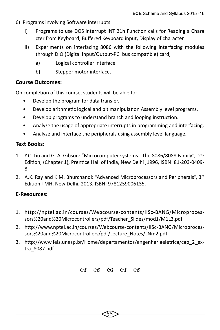- 6) Programs involving Software interrupts:
	- I) Programs to use DOS interrupt INT 21h Function calls for Reading a Chara cter from Keyboard, Buffered Keyboard input, Display of character.
	- II) Experiments on interfacing 8086 with the following interfacing modules through DIO (Digital Input/Output-PCI bus compatible) card,
		- a) Logical controller interface.
		- b) Stepper motor interface.

#### **Course Outcomes:**

On completion of this course, students will be able to:

- Develop the program for data transfer.
- Develop arithmetic logical and bit manipulation Assembly level programs.
- Develop programs to understand branch and looping instruction.
- Analyze the usage of appropriate interrupts in programming and interfacing.
- Analyze and interface the peripherals using assembly level language.

#### **Text Books:**

- 1. Y.C. Liu and G. A. Gibson: "Microcomputer systems The 8086/8088 Family", 2<sup>nd</sup> Edition, (Chapter 1), Prentice Hall of India, New Delhi ,1996, ISBN: 81-203-0409- 8.
- 2. A.K. Ray and K.M. Bhurchandi: "Advanced Microprocessors and Peripherals", 3<sup>rd</sup> Edition TMH, New Delhi, 2013, ISBN: 9781259006135.

#### **E-Resources:**

- 1. http://nptel.ac.in/courses/Webcourse-contents/IISc-BANG/Microprocessors%20and%20Microcontrollers/pdf/Teacher\_Slides/mod1/M1L3.pdf
- 2. http://www.nptel.ac.in/courses/Webcourse-contents/IISc-BANG/Microprocessors%20and%20Microcontrollers/pdf/Lecture\_Notes/LNm2.pdf
- 3. http://www.feis.unesp.br/Home/departamentos/engenhariaeletrica/cap\_2\_extra\_8087.pdf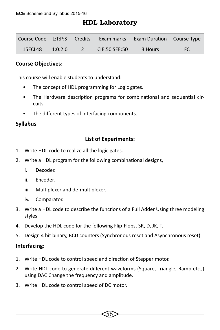## **HDL Laboratory**

| Course Code   L:T:P:S   Credits |         | Exam marks    | Exam Duration   Course Type |    |
|---------------------------------|---------|---------------|-----------------------------|----|
| <b>15ECL48</b>                  | 1:0:2:0 | CIE:50 SEE:50 | 3 Hours                     | FC |

#### **Course Objectives:**

This course will enable students to understand:

- The concept of HDL programming for Logic gates.
- The Hardware description programs for combinational and sequential circuits.
- The different types of interfacing components.

#### **Syllabus**

#### **List of Experiments:**

- 1. Write HDL code to realize all the logic gates.
- 2. Write a HDL program for the following combinational designs,
	- i. Decoder.
	- ii. Encoder.
	- iii. Multiplexer and de-multiplexer.
	- iv. Comparator.
- 3. Write a HDL code to describe the functions of a Full Adder Using three modeling styles.
- 4. Develop the HDL code for the following Flip-Flops, SR, D, JK, T.
- 5. Design 4 bit binary, BCD counters (Synchronous reset and Asynchronous reset).

#### **Interfacing:**

- 1. Write HDL code to control speed and direction of Stepper motor.
- 2. Write HDL code to generate different waveforms (Square, Triangle, Ramp etc.,) using DAC Change the frequency and amplitude.

56

3. Write HDL code to control speed of DC motor.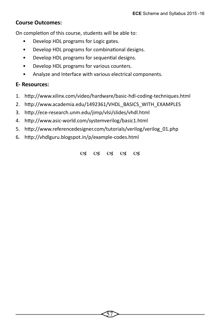#### **Course Outcomes:**

On completion of this course, students will be able to:

- Develop HDL programs for Logic gates.
- Develop HDL programs for combinational designs.
- Develop HDL programs for sequential designs.
- Develop HDL programs for various counters.
- Analyze and Interface with various electrical components.

#### **E- Resources:**

- 1. http://www.xilinx.com/video/hardware/basic-hdl-coding-techniques.html
- 2. http://www.academia.edu/1492361/VHDL\_BASICS\_WITH\_EXAMPLES
- 3. http://ece-research.unm.edu/jimp/vlsi/slides/vhdl.html
- 4. http://www.asic-world.com/systemverilog/basic1.html
- 5. http://www.referencedesigner.com/tutorials/verilog/verilog\_01.php
- 6. http://vhdlguru.blogspot.in/p/example-codes.html

03 03 03 03 03